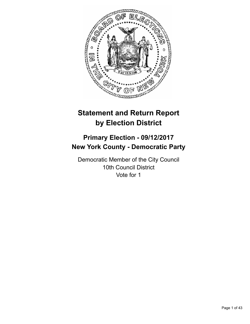

# **Statement and Return Report by Election District**

# **Primary Election - 09/12/2017 New York County - Democratic Party**

Democratic Member of the City Council 10th Council District Vote for 1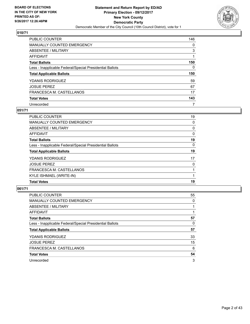

| PUBLIC COUNTER                                           | 146 |
|----------------------------------------------------------|-----|
| <b>MANUALLY COUNTED EMERGENCY</b>                        | 0   |
| ABSENTEE / MILITARY                                      | 3   |
| AFFIDAVIT                                                |     |
| <b>Total Ballots</b>                                     | 150 |
| Less - Inapplicable Federal/Special Presidential Ballots | 0   |
| <b>Total Applicable Ballots</b>                          | 150 |
| <b>YDANIS RODRIGUEZ</b>                                  | 59  |
| <b>JOSUE PEREZ</b>                                       | 67  |
| FRANCESCA M. CASTELLANOS                                 | 17  |
| <b>Total Votes</b>                                       | 143 |
| Unrecorded                                               | 7   |

#### **051/71**

| <b>PUBLIC COUNTER</b>                                    | 19       |
|----------------------------------------------------------|----------|
| <b>MANUALLY COUNTED EMERGENCY</b>                        | 0        |
| ABSENTEE / MILITARY                                      | 0        |
| AFFIDAVIT                                                | 0        |
| <b>Total Ballots</b>                                     | 19       |
| Less - Inapplicable Federal/Special Presidential Ballots | $\Omega$ |
| <b>Total Applicable Ballots</b>                          | 19       |
| <b>YDANIS RODRIGUEZ</b>                                  | 17       |
| <b>JOSUE PEREZ</b>                                       | 0        |
| FRANCESCA M. CASTELLANOS                                 |          |
| KYLE ISHMAEL (WRITE-IN)                                  |          |
| <b>Total Votes</b>                                       | 19       |

| <b>PUBLIC COUNTER</b>                                    | 55 |
|----------------------------------------------------------|----|
| MANUALLY COUNTED EMERGENCY                               | 0  |
| ABSENTEE / MILITARY                                      |    |
| <b>AFFIDAVIT</b>                                         |    |
| <b>Total Ballots</b>                                     | 57 |
| Less - Inapplicable Federal/Special Presidential Ballots | 0  |
| <b>Total Applicable Ballots</b>                          | 57 |
| <b>YDANIS RODRIGUEZ</b>                                  | 33 |
| <b>JOSUE PEREZ</b>                                       | 15 |
| FRANCESCA M. CASTELLANOS                                 | 6  |
| <b>Total Votes</b>                                       | 54 |
| Unrecorded                                               | 3  |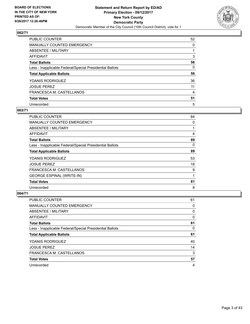

| <b>PUBLIC COUNTER</b>                                    | 52 |
|----------------------------------------------------------|----|
| MANUALLY COUNTED EMERGENCY                               | 0  |
| ABSENTEE / MILITARY                                      |    |
| <b>AFFIDAVIT</b>                                         | 3  |
| <b>Total Ballots</b>                                     | 56 |
| Less - Inapplicable Federal/Special Presidential Ballots | 0  |
| <b>Total Applicable Ballots</b>                          | 56 |
| <b>YDANIS RODRIGUEZ</b>                                  | 36 |
| <b>JOSUE PEREZ</b>                                       | 11 |
| FRANCESCA M. CASTELLANOS                                 | 4  |
| <b>Total Votes</b>                                       | 51 |
| Unrecorded                                               | 5  |

#### **063/71**

| <b>PUBLIC COUNTER</b>                                    | 84 |
|----------------------------------------------------------|----|
| <b>MANUALLY COUNTED EMERGENCY</b>                        | 0  |
| ABSENTEE / MILITARY                                      |    |
| AFFIDAVIT                                                | 4  |
| <b>Total Ballots</b>                                     | 89 |
| Less - Inapplicable Federal/Special Presidential Ballots | 0  |
| <b>Total Applicable Ballots</b>                          | 89 |
| <b>YDANIS RODRIGUEZ</b>                                  | 53 |
| <b>JOSUE PEREZ</b>                                       | 18 |
| FRANCESCA M. CASTELLANOS                                 | 9  |
| <b>GEORGE ESPINAL (WRITE-IN)</b>                         |    |
| <b>Total Votes</b>                                       | 81 |
| Unrecorded                                               | 8  |

| <b>PUBLIC COUNTER</b>                                    | 61 |
|----------------------------------------------------------|----|
| <b>MANUALLY COUNTED EMERGENCY</b>                        | 0  |
| ABSENTEE / MILITARY                                      | 0  |
| AFFIDAVIT                                                | 0  |
| <b>Total Ballots</b>                                     | 61 |
| Less - Inapplicable Federal/Special Presidential Ballots | 0  |
| <b>Total Applicable Ballots</b>                          | 61 |
| <b>YDANIS RODRIGUEZ</b>                                  | 40 |
| <b>JOSUE PEREZ</b>                                       | 14 |
| FRANCESCA M. CASTELLANOS                                 | 3  |
| <b>Total Votes</b>                                       | 57 |
| Unrecorded                                               | 4  |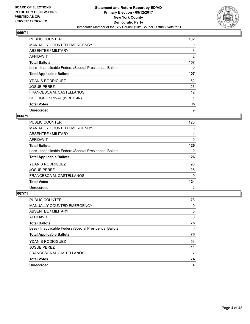

| <b>PUBLIC COUNTER</b>                                    | 102            |
|----------------------------------------------------------|----------------|
| <b>MANUALLY COUNTED EMERGENCY</b>                        | 0              |
| ABSENTEE / MILITARY                                      | 3              |
| AFFIDAVIT                                                | $\overline{2}$ |
| <b>Total Ballots</b>                                     | 107            |
| Less - Inapplicable Federal/Special Presidential Ballots | 0              |
| <b>Total Applicable Ballots</b>                          | 107            |
| <b>YDANIS RODRIGUEZ</b>                                  | 62             |
| <b>JOSUE PEREZ</b>                                       | 23             |
| FRANCESCA M. CASTELLANOS                                 | 12             |
| <b>GEORGE ESPINAL (WRITE-IN)</b>                         |                |
| <b>Total Votes</b>                                       | 98             |
| Unrecorded                                               | 9              |

#### **066/71**

| <b>PUBLIC COUNTER</b>                                    | 125 |
|----------------------------------------------------------|-----|
| <b>MANUALLY COUNTED EMERGENCY</b>                        | 0   |
| ABSENTEE / MILITARY                                      |     |
| AFFIDAVIT                                                | 0   |
| <b>Total Ballots</b>                                     | 126 |
| Less - Inapplicable Federal/Special Presidential Ballots | 0   |
| <b>Total Applicable Ballots</b>                          | 126 |
| <b>YDANIS RODRIGUEZ</b>                                  | 90  |
|                                                          |     |
| <b>JOSUE PEREZ</b>                                       | 25  |
| FRANCESCA M. CASTELLANOS                                 | 9   |
| <b>Total Votes</b>                                       | 124 |

| <b>PUBLIC COUNTER</b>                                    | 78 |
|----------------------------------------------------------|----|
| <b>MANUALLY COUNTED EMERGENCY</b>                        | 0  |
| ABSENTEE / MILITARY                                      | 0  |
| AFFIDAVIT                                                | 0  |
| <b>Total Ballots</b>                                     | 78 |
| Less - Inapplicable Federal/Special Presidential Ballots | 0  |
| <b>Total Applicable Ballots</b>                          | 78 |
| <b>YDANIS RODRIGUEZ</b>                                  | 53 |
| <b>JOSUE PEREZ</b>                                       | 14 |
| FRANCESCA M. CASTELLANOS                                 | 7  |
| <b>Total Votes</b>                                       | 74 |
| Unrecorded                                               | 4  |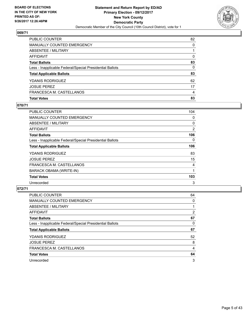

| <b>Total Votes</b>                                       | 83       |
|----------------------------------------------------------|----------|
| FRANCESCA M. CASTELLANOS                                 | 4        |
| <b>JOSUE PEREZ</b>                                       | 17       |
| YDANIS RODRIGUEZ                                         | 62       |
| <b>Total Applicable Ballots</b>                          | 83       |
| Less - Inapplicable Federal/Special Presidential Ballots | 0        |
| <b>Total Ballots</b>                                     | 83       |
| <b>AFFIDAVIT</b>                                         | $\Omega$ |
| <b>ABSENTEE / MILITARY</b>                               |          |
| <b>MANUALLY COUNTED EMERGENCY</b>                        | 0        |
| PUBLIC COUNTER                                           | 82       |

## **070/71**

| PUBLIC COUNTER                                           | 104 |
|----------------------------------------------------------|-----|
| <b>MANUALLY COUNTED EMERGENCY</b>                        | 0   |
| ABSENTEE / MILITARY                                      | 0   |
| AFFIDAVIT                                                | 2   |
| <b>Total Ballots</b>                                     | 106 |
| Less - Inapplicable Federal/Special Presidential Ballots | 0   |
| <b>Total Applicable Ballots</b>                          | 106 |
| <b>YDANIS RODRIGUEZ</b>                                  | 83  |
| <b>JOSUE PEREZ</b>                                       | 15  |
| FRANCESCA M. CASTELLANOS                                 | 4   |
| BARACK OBAMA (WRITE-IN)                                  | 1   |
| <b>Total Votes</b>                                       | 103 |
| Unrecorded                                               | 3   |
|                                                          |     |

| <b>PUBLIC COUNTER</b>                                    | 64             |
|----------------------------------------------------------|----------------|
| MANUALLY COUNTED EMERGENCY                               | 0              |
| ABSENTEE / MILITARY                                      |                |
| <b>AFFIDAVIT</b>                                         | $\overline{2}$ |
| <b>Total Ballots</b>                                     | 67             |
| Less - Inapplicable Federal/Special Presidential Ballots | 0              |
| <b>Total Applicable Ballots</b>                          | 67             |
| <b>YDANIS RODRIGUEZ</b>                                  | 52             |
| <b>JOSUE PEREZ</b>                                       | 8              |
| FRANCESCA M. CASTELLANOS                                 | 4              |
| <b>Total Votes</b>                                       | 64             |
| Unrecorded                                               | 3              |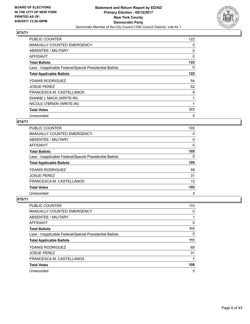

| <b>PUBLIC COUNTER</b>                                    | 122 |
|----------------------------------------------------------|-----|
| <b>MANUALLY COUNTED EMERGENCY</b>                        | 0   |
| ABSENTEE / MILITARY                                      | 0   |
| AFFIDAVIT                                                | 0   |
| <b>Total Ballots</b>                                     | 122 |
| Less - Inapplicable Federal/Special Presidential Ballots | 0   |
| <b>Total Applicable Ballots</b>                          | 122 |
| <b>YDANIS RODRIGUEZ</b>                                  | 54  |
|                                                          |     |
| <b>JOSUE PEREZ</b>                                       | 52  |
| FRANCESCA M. CASTELLANOS                                 | 9   |
| DIANNE L MACK (WRITE-IN)                                 | 1   |
| NICOLE O'BRIEN (WRITE-IN)                                |     |
| <b>Total Votes</b>                                       | 117 |

## **074/71**

| <b>PUBLIC COUNTER</b>                                    | 105      |
|----------------------------------------------------------|----------|
| <b>MANUALLY COUNTED EMERGENCY</b>                        | 0        |
| ABSENTEE / MILITARY                                      | 0        |
| AFFIDAVIT                                                | 0        |
| <b>Total Ballots</b>                                     | 105      |
| Less - Inapplicable Federal/Special Presidential Ballots | $\Omega$ |
| <b>Total Applicable Ballots</b>                          | 105      |
| <b>YDANIS RODRIGUEZ</b>                                  | 59       |
| <b>JOSUE PEREZ</b>                                       | 31       |
| FRANCESCA M. CASTELLANOS                                 | 12       |
| <b>Total Votes</b>                                       | 102      |
| Unrecorded                                               | 3        |

| <b>PUBLIC COUNTER</b>                                    | 110 |
|----------------------------------------------------------|-----|
| <b>MANUALLY COUNTED EMERGENCY</b>                        | 0   |
| ABSENTEE / MILITARY                                      |     |
| AFFIDAVIT                                                | 0   |
| <b>Total Ballots</b>                                     | 111 |
| Less - Inapplicable Federal/Special Presidential Ballots | 0   |
| <b>Total Applicable Ballots</b>                          | 111 |
| <b>YDANIS RODRIGUEZ</b>                                  | 68  |
| <b>JOSUE PEREZ</b>                                       | 31  |
| FRANCESCA M. CASTELLANOS                                 |     |
| <b>Total Votes</b>                                       | 106 |
| Unrecorded                                               | 5   |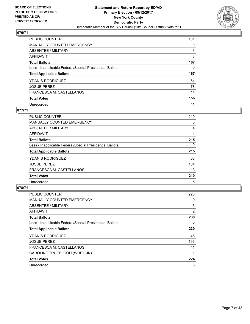

| PUBLIC COUNTER                                           | 161 |
|----------------------------------------------------------|-----|
| <b>MANUALLY COUNTED EMERGENCY</b>                        | 0   |
| ABSENTEE / MILITARY                                      | 3   |
| AFFIDAVIT                                                | 3   |
| <b>Total Ballots</b>                                     | 167 |
| Less - Inapplicable Federal/Special Presidential Ballots | 0   |
| <b>Total Applicable Ballots</b>                          | 167 |
| <b>YDANIS RODRIGUEZ</b>                                  | 64  |
| <b>JOSUE PEREZ</b>                                       | 78  |
|                                                          |     |
| FRANCESCA M. CASTELLANOS                                 | 14  |
| <b>Total Votes</b>                                       | 156 |

#### **077/71**

| <b>PUBLIC COUNTER</b>                                    | 210 |
|----------------------------------------------------------|-----|
| <b>MANUALLY COUNTED EMERGENCY</b>                        | 0   |
| ABSENTEE / MILITARY                                      | 4   |
| AFFIDAVIT                                                |     |
| <b>Total Ballots</b>                                     | 215 |
| Less - Inapplicable Federal/Special Presidential Ballots | 0   |
| <b>Total Applicable Ballots</b>                          | 215 |
| <b>YDANIS RODRIGUEZ</b>                                  | 63  |
| <b>JOSUE PEREZ</b>                                       | 134 |
| FRANCESCA M. CASTELLANOS                                 | 13  |
| <b>Total Votes</b>                                       | 210 |
| Unrecorded                                               | 5   |

| PUBLIC COUNTER                                           | 223            |
|----------------------------------------------------------|----------------|
| MANUALLY COUNTED EMERGENCY                               | 0              |
| ABSENTEE / MILITARY                                      | 5              |
| AFFIDAVIT                                                | $\overline{2}$ |
| <b>Total Ballots</b>                                     | 230            |
| Less - Inapplicable Federal/Special Presidential Ballots | 0              |
| <b>Total Applicable Ballots</b>                          | 230            |
| <b>YDANIS RODRIGUEZ</b>                                  | 46             |
| <b>JOSUE PEREZ</b>                                       | 166            |
| FRANCESCA M. CASTELLANOS                                 | 11             |
| CAROLINE TRUEBLOOD (WRITE-IN)                            |                |
| <b>Total Votes</b>                                       | 224            |
| Unrecorded                                               | 6              |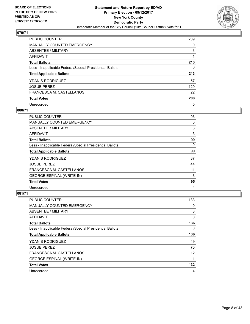

| PUBLIC COUNTER                                           | 209 |
|----------------------------------------------------------|-----|
| <b>MANUALLY COUNTED EMERGENCY</b>                        | 0   |
| ABSENTEE / MILITARY                                      | 3   |
| AFFIDAVIT                                                |     |
| <b>Total Ballots</b>                                     | 213 |
| Less - Inapplicable Federal/Special Presidential Ballots | 0   |
| <b>Total Applicable Ballots</b>                          | 213 |
| <b>YDANIS RODRIGUEZ</b>                                  | 57  |
| <b>JOSUE PEREZ</b>                                       | 129 |
| FRANCESCA M. CASTELLANOS                                 | 22  |
| <b>Total Votes</b>                                       | 208 |
| Unrecorded                                               | 5   |

#### **080/71**

| <b>PUBLIC COUNTER</b>                                    | 93 |
|----------------------------------------------------------|----|
| <b>MANUALLY COUNTED EMERGENCY</b>                        | 0  |
| ABSENTEE / MILITARY                                      | 3  |
| <b>AFFIDAVIT</b>                                         | 3  |
| <b>Total Ballots</b>                                     | 99 |
| Less - Inapplicable Federal/Special Presidential Ballots | 0  |
| <b>Total Applicable Ballots</b>                          | 99 |
| <b>YDANIS RODRIGUEZ</b>                                  | 37 |
| <b>JOSUE PEREZ</b>                                       | 44 |
| FRANCESCA M. CASTELLANOS                                 | 11 |
| <b>GEORGE ESPINAL (WRITE-IN)</b>                         | 3  |
| <b>Total Votes</b>                                       | 95 |
| Unrecorded                                               | 4  |

| <b>PUBLIC COUNTER</b>                                    | 133 |
|----------------------------------------------------------|-----|
| <b>MANUALLY COUNTED EMERGENCY</b>                        | 0   |
| ABSENTEE / MILITARY                                      | 3   |
| AFFIDAVIT                                                | 0   |
| <b>Total Ballots</b>                                     | 136 |
| Less - Inapplicable Federal/Special Presidential Ballots | 0   |
| <b>Total Applicable Ballots</b>                          | 136 |
| <b>YDANIS RODRIGUEZ</b>                                  | 49  |
| <b>JOSUE PEREZ</b>                                       | 70  |
| FRANCESCA M. CASTELLANOS                                 | 12  |
| <b>GEORGE ESPINAL (WRITE-IN)</b>                         | 1   |
| <b>Total Votes</b>                                       | 132 |
| Unrecorded                                               | 4   |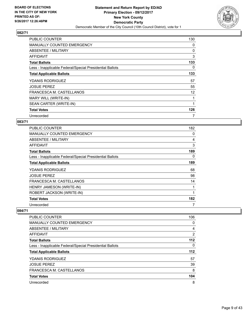

| <b>PUBLIC COUNTER</b>                                    | 130 |
|----------------------------------------------------------|-----|
| <b>MANUALLY COUNTED EMERGENCY</b>                        | 0   |
| ABSENTEE / MILITARY                                      | 0   |
| AFFIDAVIT                                                | 3   |
| <b>Total Ballots</b>                                     | 133 |
| Less - Inapplicable Federal/Special Presidential Ballots | 0   |
| <b>Total Applicable Ballots</b>                          | 133 |
| <b>YDANIS RODRIGUEZ</b>                                  | 57  |
| <b>JOSUE PEREZ</b>                                       | 55  |
| FRANCESCA M. CASTELLANOS                                 | 12  |
|                                                          |     |
| MARY WILL (WRITE-IN)                                     |     |
| SEAN CARTER (WRITE-IN)                                   |     |
| <b>Total Votes</b>                                       | 126 |

## **083/71**

| <b>PUBLIC COUNTER</b>                                    | 182 |
|----------------------------------------------------------|-----|
| <b>MANUALLY COUNTED EMERGENCY</b>                        | 0   |
| ABSENTEE / MILITARY                                      | 4   |
| AFFIDAVIT                                                | 3   |
| <b>Total Ballots</b>                                     | 189 |
| Less - Inapplicable Federal/Special Presidential Ballots | 0   |
| <b>Total Applicable Ballots</b>                          | 189 |
| <b>YDANIS RODRIGUEZ</b>                                  | 68  |
| <b>JOSUE PEREZ</b>                                       | 98  |
| FRANCESCA M. CASTELLANOS                                 | 14  |
| HENRY JAMESON (WRITE-IN)                                 |     |
| ROBERT JACKSON (WRITE-IN)                                | 1   |
| <b>Total Votes</b>                                       | 182 |
| Unrecorded                                               | 7   |

| <b>PUBLIC COUNTER</b>                                    | 106   |
|----------------------------------------------------------|-------|
| <b>MANUALLY COUNTED EMERGENCY</b>                        | 0     |
| ABSENTEE / MILITARY                                      | 4     |
| AFFIDAVIT                                                | 2     |
| <b>Total Ballots</b>                                     | $112$ |
| Less - Inapplicable Federal/Special Presidential Ballots | 0     |
| <b>Total Applicable Ballots</b>                          | $112$ |
| <b>YDANIS RODRIGUEZ</b>                                  | 57    |
| <b>JOSUE PEREZ</b>                                       | 39    |
| FRANCESCA M. CASTELLANOS                                 | 8     |
| <b>Total Votes</b>                                       | 104   |
| Unrecorded                                               | 8     |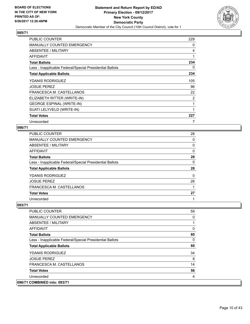

| <b>PUBLIC COUNTER</b>                                    | 229 |
|----------------------------------------------------------|-----|
| <b>MANUALLY COUNTED EMERGENCY</b>                        | 0   |
| ABSENTEE / MILITARY                                      | 4   |
| AFFIDAVIT                                                | 1   |
| <b>Total Ballots</b>                                     | 234 |
| Less - Inapplicable Federal/Special Presidential Ballots | 0   |
| <b>Total Applicable Ballots</b>                          | 234 |
| <b>YDANIS RODRIGUEZ</b>                                  | 105 |
| <b>JOSUE PEREZ</b>                                       | 96  |
| FRANCESCA M. CASTELLANOS                                 | 22  |
| ELIZABETH RITTER (WRITE-IN)                              | 2   |
| <b>GEORGE ESPINAL (WRITE-IN)</b>                         | 1   |
| SUATI LELYVELD (WRITE-IN)                                |     |
| <b>Total Votes</b>                                       | 227 |
| Unrecorded                                               | 7   |

#### **086/71**

| <b>PUBLIC COUNTER</b>                                    | 28 |
|----------------------------------------------------------|----|
| <b>MANUALLY COUNTED EMERGENCY</b>                        | 0  |
| ABSENTEE / MILITARY                                      | 0  |
| AFFIDAVIT                                                | 0  |
| <b>Total Ballots</b>                                     | 28 |
| Less - Inapplicable Federal/Special Presidential Ballots | 0  |
| <b>Total Applicable Ballots</b>                          | 28 |
| <b>YDANIS RODRIGUEZ</b>                                  | 0  |
| <b>JOSUE PEREZ</b>                                       | 26 |
| FRANCESCA M. CASTELLANOS                                 |    |
| <b>Total Votes</b>                                       | 27 |
| Unrecorded                                               |    |

#### **093/71**

**096/71 COMBINED into: 093/71**

| <b>PUBLIC COUNTER</b>                                    | 59 |
|----------------------------------------------------------|----|
| <b>MANUALLY COUNTED EMERGENCY</b>                        | 0  |
| ABSENTEE / MILITARY                                      |    |
| AFFIDAVIT                                                | 0  |
| <b>Total Ballots</b>                                     | 60 |
| Less - Inapplicable Federal/Special Presidential Ballots | 0  |
| <b>Total Applicable Ballots</b>                          | 60 |
| <b>YDANIS RODRIGUEZ</b>                                  | 34 |
| <b>JOSUE PEREZ</b>                                       | 8  |
| FRANCESCA M. CASTELLANOS                                 | 14 |
| <b>Total Votes</b>                                       | 56 |
| Unrecorded                                               | 4  |
| <b>COMBINED into: 093/71</b>                             |    |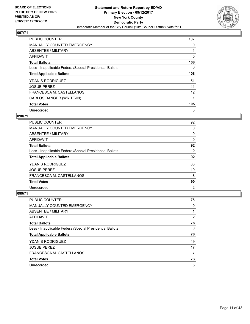

| <b>PUBLIC COUNTER</b>                                    | 107 |
|----------------------------------------------------------|-----|
| MANUALLY COUNTED EMERGENCY                               | 0   |
| ABSENTEE / MILITARY                                      |     |
| <b>AFFIDAVIT</b>                                         | 0   |
| <b>Total Ballots</b>                                     | 108 |
| Less - Inapplicable Federal/Special Presidential Ballots | 0   |
| <b>Total Applicable Ballots</b>                          | 108 |
| <b>YDANIS RODRIGUEZ</b>                                  | 51  |
| <b>JOSUE PEREZ</b>                                       | 41  |
| FRANCESCA M. CASTELLANOS                                 | 12  |
| CARLOS DANGER (WRITE-IN)                                 |     |
| <b>Total Votes</b>                                       | 105 |
| Unrecorded                                               | 3   |

## **098/71**

| <b>PUBLIC COUNTER</b>                                    | 92             |
|----------------------------------------------------------|----------------|
| <b>MANUALLY COUNTED EMERGENCY</b>                        | 0              |
| ABSENTEE / MILITARY                                      | 0              |
| AFFIDAVIT                                                | 0              |
| <b>Total Ballots</b>                                     | 92             |
| Less - Inapplicable Federal/Special Presidential Ballots | 0              |
| <b>Total Applicable Ballots</b>                          | 92             |
| YDANIS RODRIGUEZ                                         | 63             |
| <b>JOSUE PEREZ</b>                                       | 19             |
| FRANCESCA M. CASTELLANOS                                 | 8              |
| <b>Total Votes</b>                                       | 90             |
| Unrecorded                                               | $\overline{2}$ |

| <b>PUBLIC COUNTER</b>                                    | 75 |
|----------------------------------------------------------|----|
| <b>MANUALLY COUNTED EMERGENCY</b>                        | 0  |
| ABSENTEE / MILITARY                                      |    |
| AFFIDAVIT                                                | 2  |
| <b>Total Ballots</b>                                     | 78 |
| Less - Inapplicable Federal/Special Presidential Ballots | 0  |
| <b>Total Applicable Ballots</b>                          | 78 |
| <b>YDANIS RODRIGUEZ</b>                                  | 49 |
| <b>JOSUE PEREZ</b>                                       | 17 |
| FRANCESCA M. CASTELLANOS                                 | 7  |
| <b>Total Votes</b>                                       | 73 |
| Unrecorded                                               | 5  |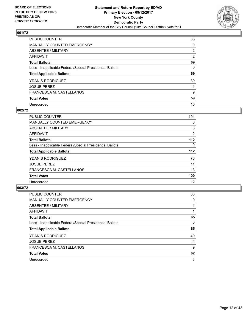

| <b>PUBLIC COUNTER</b>                                    | 65             |
|----------------------------------------------------------|----------------|
| MANUALLY COUNTED EMERGENCY                               | 0              |
| ABSENTEE / MILITARY                                      | $\overline{2}$ |
| <b>AFFIDAVIT</b>                                         | 2              |
| <b>Total Ballots</b>                                     | 69             |
| Less - Inapplicable Federal/Special Presidential Ballots | 0              |
| <b>Total Applicable Ballots</b>                          | 69             |
| <b>YDANIS RODRIGUEZ</b>                                  | 39             |
| <b>JOSUE PEREZ</b>                                       | 11             |
| FRANCESCA M. CASTELLANOS                                 | 9              |
| <b>Total Votes</b>                                       | 59             |
| Unrecorded                                               | 10             |

#### **002/72**

| <b>PUBLIC COUNTER</b>                                    | 104      |
|----------------------------------------------------------|----------|
| <b>MANUALLY COUNTED EMERGENCY</b>                        | 0        |
| ABSENTEE / MILITARY                                      | 6        |
| <b>AFFIDAVIT</b>                                         | 2        |
| <b>Total Ballots</b>                                     | $112$    |
| Less - Inapplicable Federal/Special Presidential Ballots | $\Omega$ |
| <b>Total Applicable Ballots</b>                          | $112$    |
| <b>YDANIS RODRIGUEZ</b>                                  | 76       |
| <b>JOSUE PEREZ</b>                                       | 11       |
| FRANCESCA M. CASTELLANOS                                 | 13       |
| <b>Total Votes</b>                                       | 100      |
| Unrecorded                                               | 12       |

| <b>PUBLIC COUNTER</b>                                    | 63 |
|----------------------------------------------------------|----|
| <b>MANUALLY COUNTED EMERGENCY</b>                        | 0  |
| ABSENTEE / MILITARY                                      |    |
| AFFIDAVIT                                                |    |
| <b>Total Ballots</b>                                     | 65 |
| Less - Inapplicable Federal/Special Presidential Ballots | 0  |
| <b>Total Applicable Ballots</b>                          | 65 |
| <b>YDANIS RODRIGUEZ</b>                                  | 49 |
| <b>JOSUE PEREZ</b>                                       | 4  |
| FRANCESCA M. CASTELLANOS                                 | 9  |
| <b>Total Votes</b>                                       | 62 |
| Unrecorded                                               | 3  |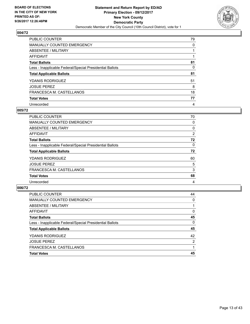

| PUBLIC COUNTER                                           | 79 |
|----------------------------------------------------------|----|
| <b>MANUALLY COUNTED EMERGENCY</b>                        | 0  |
| ABSENTEE / MILITARY                                      |    |
| AFFIDAVIT                                                |    |
| <b>Total Ballots</b>                                     | 81 |
| Less - Inapplicable Federal/Special Presidential Ballots | 0  |
| <b>Total Applicable Ballots</b>                          | 81 |
| <b>YDANIS RODRIGUEZ</b>                                  | 51 |
| <b>JOSUE PEREZ</b>                                       | 8  |
| FRANCESCA M. CASTELLANOS                                 | 18 |
| <b>Total Votes</b>                                       | 77 |
| Unrecorded                                               | 4  |

#### **005/72**

| PUBLIC COUNTER                                           | 70 |
|----------------------------------------------------------|----|
| MANUALLY COUNTED EMERGENCY                               | 0  |
| ABSENTEE / MILITARY                                      | 0  |
| <b>AFFIDAVIT</b>                                         | 2  |
| <b>Total Ballots</b>                                     | 72 |
| Less - Inapplicable Federal/Special Presidential Ballots | 0  |
| <b>Total Applicable Ballots</b>                          | 72 |
| <b>YDANIS RODRIGUEZ</b>                                  | 60 |
| <b>JOSUE PEREZ</b>                                       | 5  |
| FRANCESCA M. CASTELLANOS                                 | 3  |
| <b>Total Votes</b>                                       | 68 |
| Unrecorded                                               | 4  |

| <b>PUBLIC COUNTER</b>                                    | 44 |
|----------------------------------------------------------|----|
| <b>MANUALLY COUNTED EMERGENCY</b>                        | 0  |
| ABSENTEE / MILITARY                                      |    |
| AFFIDAVIT                                                | 0  |
| <b>Total Ballots</b>                                     | 45 |
| Less - Inapplicable Federal/Special Presidential Ballots | 0  |
| <b>Total Applicable Ballots</b>                          | 45 |
| <b>YDANIS RODRIGUEZ</b>                                  | 42 |
| <b>JOSUE PEREZ</b>                                       | 2  |
| FRANCESCA M. CASTELLANOS                                 |    |
| <b>Total Votes</b>                                       | 45 |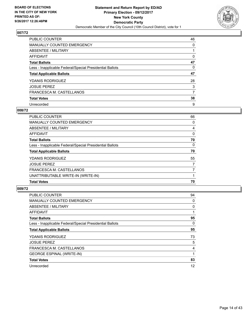

| <b>PUBLIC COUNTER</b>                                    | 46 |
|----------------------------------------------------------|----|
| MANUALLY COUNTED EMERGENCY                               | 0  |
| ABSENTEE / MILITARY                                      |    |
| <b>AFFIDAVIT</b>                                         | 0  |
| <b>Total Ballots</b>                                     | 47 |
| Less - Inapplicable Federal/Special Presidential Ballots | 0  |
| <b>Total Applicable Ballots</b>                          | 47 |
| <b>YDANIS RODRIGUEZ</b>                                  | 28 |
| <b>JOSUE PEREZ</b>                                       | 3  |
| FRANCESCA M. CASTELLANOS                                 | 7  |
| <b>Total Votes</b>                                       | 38 |
| Unrecorded                                               | 9  |

#### **008/72**

| <b>PUBLIC COUNTER</b>                                    | 66       |
|----------------------------------------------------------|----------|
| <b>MANUALLY COUNTED EMERGENCY</b>                        | 0        |
| ABSENTEE / MILITARY                                      | 4        |
| AFFIDAVIT                                                | 0        |
| <b>Total Ballots</b>                                     | 70       |
| Less - Inapplicable Federal/Special Presidential Ballots | $\Omega$ |
| <b>Total Applicable Ballots</b>                          | 70       |
| <b>YDANIS RODRIGUEZ</b>                                  | 55       |
| <b>JOSUE PEREZ</b>                                       | 7        |
| FRANCESCA M. CASTELLANOS                                 | 7        |
| UNATTRIBUTABLE WRITE-IN (WRITE-IN)                       |          |
| <b>Total Votes</b>                                       | 70       |

| <b>PUBLIC COUNTER</b>                                    | 94 |
|----------------------------------------------------------|----|
| MANUALLY COUNTED EMERGENCY                               | 0  |
| ABSENTEE / MILITARY                                      | 0  |
| AFFIDAVIT                                                |    |
| <b>Total Ballots</b>                                     | 95 |
| Less - Inapplicable Federal/Special Presidential Ballots | 0  |
| <b>Total Applicable Ballots</b>                          | 95 |
| <b>YDANIS RODRIGUEZ</b>                                  | 73 |
| <b>JOSUE PEREZ</b>                                       | 5  |
| FRANCESCA M. CASTELLANOS                                 | 4  |
| <b>GEORGE ESPINAL (WRITE-IN)</b>                         |    |
| <b>Total Votes</b>                                       | 83 |
| Unrecorded                                               | 12 |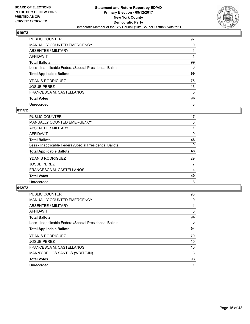

| <b>PUBLIC COUNTER</b>                                    | 97 |
|----------------------------------------------------------|----|
| <b>MANUALLY COUNTED EMERGENCY</b>                        | 0  |
| ABSENTEE / MILITARY                                      |    |
| AFFIDAVIT                                                |    |
| <b>Total Ballots</b>                                     | 99 |
| Less - Inapplicable Federal/Special Presidential Ballots | 0  |
| <b>Total Applicable Ballots</b>                          | 99 |
| <b>YDANIS RODRIGUEZ</b>                                  | 75 |
| <b>JOSUE PEREZ</b>                                       | 16 |
| FRANCESCA M. CASTELLANOS                                 | 5  |
| <b>Total Votes</b>                                       | 96 |
| Unrecorded                                               | 3  |

#### **011/72**

| <b>PUBLIC COUNTER</b>                                    | 47 |
|----------------------------------------------------------|----|
| <b>MANUALLY COUNTED EMERGENCY</b>                        | 0  |
| ABSENTEE / MILITARY                                      |    |
| AFFIDAVIT                                                | 0  |
| <b>Total Ballots</b>                                     | 48 |
| Less - Inapplicable Federal/Special Presidential Ballots | 0  |
| <b>Total Applicable Ballots</b>                          | 48 |
| <b>YDANIS RODRIGUEZ</b>                                  | 29 |
| <b>JOSUE PEREZ</b>                                       | 7  |
| FRANCESCA M. CASTELLANOS                                 | 4  |
| <b>Total Votes</b>                                       | 40 |
| Unrecorded                                               | 8  |

| <b>PUBLIC COUNTER</b>                                    | 93 |
|----------------------------------------------------------|----|
| <b>MANUALLY COUNTED EMERGENCY</b>                        | 0  |
| ABSENTEE / MILITARY                                      |    |
| <b>AFFIDAVIT</b>                                         | 0  |
| <b>Total Ballots</b>                                     | 94 |
| Less - Inapplicable Federal/Special Presidential Ballots | 0  |
| <b>Total Applicable Ballots</b>                          | 94 |
| <b>YDANIS RODRIGUEZ</b>                                  | 70 |
| <b>JOSUE PEREZ</b>                                       | 10 |
| FRANCESCA M. CASTELLANOS                                 | 10 |
| MANNY DE LOS SANTOS (WRITE-IN)                           | 3  |
| <b>Total Votes</b>                                       | 93 |
| Unrecorded                                               |    |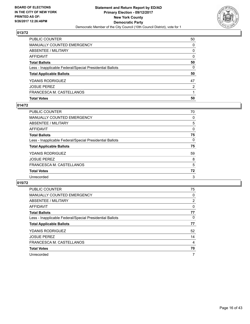

| <b>Total Votes</b>                                       | 50           |
|----------------------------------------------------------|--------------|
| FRANCESCA M. CASTELLANOS                                 |              |
| <b>JOSUE PEREZ</b>                                       | 2            |
| YDANIS RODRIGUEZ                                         | 47           |
| <b>Total Applicable Ballots</b>                          | 50           |
| Less - Inapplicable Federal/Special Presidential Ballots | 0            |
| <b>Total Ballots</b>                                     | 50           |
| AFFIDAVIT                                                | $\Omega$     |
| <b>ABSENTEE / MILITARY</b>                               | $\mathbf{0}$ |
| <b>MANUALLY COUNTED EMERGENCY</b>                        | $\Omega$     |
| PUBLIC COUNTER                                           | 50           |

## **014/72**

| PUBLIC COUNTER                                           | 70 |
|----------------------------------------------------------|----|
| <b>MANUALLY COUNTED EMERGENCY</b>                        | 0  |
| <b>ABSENTEE / MILITARY</b>                               | 5  |
| AFFIDAVIT                                                | 0  |
| <b>Total Ballots</b>                                     | 75 |
| Less - Inapplicable Federal/Special Presidential Ballots | 0  |
| <b>Total Applicable Ballots</b>                          | 75 |
| YDANIS RODRIGUEZ                                         | 59 |
| <b>JOSUE PEREZ</b>                                       | 8  |
| FRANCESCA M. CASTELLANOS                                 | 5  |
| <b>Total Votes</b>                                       | 72 |
| Unrecorded                                               | 3  |
|                                                          |    |

| <b>PUBLIC COUNTER</b>                                    | 75             |
|----------------------------------------------------------|----------------|
| <b>MANUALLY COUNTED EMERGENCY</b>                        | 0              |
| ABSENTEE / MILITARY                                      | $\overline{2}$ |
| <b>AFFIDAVIT</b>                                         | 0              |
| <b>Total Ballots</b>                                     | 77             |
| Less - Inapplicable Federal/Special Presidential Ballots | 0              |
| <b>Total Applicable Ballots</b>                          | 77             |
| YDANIS RODRIGUEZ                                         | 52             |
| <b>JOSUE PEREZ</b>                                       | 14             |
| FRANCESCA M. CASTELLANOS                                 | 4              |
| <b>Total Votes</b>                                       | 70             |
| Unrecorded                                               | 7              |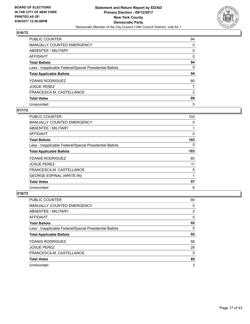

| <b>PUBLIC COUNTER</b>                                    | 94 |
|----------------------------------------------------------|----|
| <b>MANUALLY COUNTED EMERGENCY</b>                        | 0  |
| ABSENTEE / MILITARY                                      | 0  |
| AFFIDAVIT                                                | 0  |
| <b>Total Ballots</b>                                     | 94 |
| Less - Inapplicable Federal/Special Presidential Ballots | 0  |
| <b>Total Applicable Ballots</b>                          | 94 |
| <b>YDANIS RODRIGUEZ</b>                                  | 80 |
| <b>JOSUE PEREZ</b>                                       | 7  |
| FRANCESCA M. CASTELLANOS                                 | 2  |
| <b>Total Votes</b>                                       | 89 |
| Unrecorded                                               | 5  |

## **017/72**

| <b>PUBLIC COUNTER</b>                                    | 102      |
|----------------------------------------------------------|----------|
| <b>MANUALLY COUNTED EMERGENCY</b>                        | 0        |
| ABSENTEE / MILITARY                                      |          |
| AFFIDAVIT                                                | 0        |
| <b>Total Ballots</b>                                     | 103      |
| Less - Inapplicable Federal/Special Presidential Ballots | $\Omega$ |
| <b>Total Applicable Ballots</b>                          | 103      |
| <b>YDANIS RODRIGUEZ</b>                                  | 80       |
| <b>JOSUE PEREZ</b>                                       | 11       |
| FRANCESCA M. CASTELLANOS                                 | 5        |
| <b>GEORGE ESPINAL (WRITE-IN)</b>                         | 1        |
| <b>Total Votes</b>                                       | 97       |
| Unrecorded                                               | 6        |

| <b>PUBLIC COUNTER</b>                                    | 90 |
|----------------------------------------------------------|----|
| <b>MANUALLY COUNTED EMERGENCY</b>                        | 0  |
| ABSENTEE / MILITARY                                      | 2  |
| AFFIDAVIT                                                | 0  |
| <b>Total Ballots</b>                                     | 92 |
| Less - Inapplicable Federal/Special Presidential Ballots | 0  |
| <b>Total Applicable Ballots</b>                          | 92 |
| <b>YDANIS RODRIGUEZ</b>                                  | 56 |
| <b>JOSUE PEREZ</b>                                       | 28 |
| FRANCESCA M. CASTELLANOS                                 | 5  |
| <b>Total Votes</b>                                       | 89 |
| Unrecorded                                               | 3  |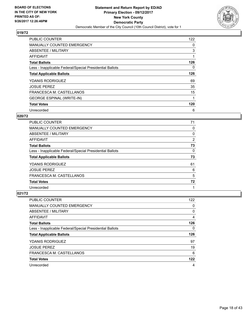

| <b>PUBLIC COUNTER</b>                                    | 122      |
|----------------------------------------------------------|----------|
| <b>MANUALLY COUNTED EMERGENCY</b>                        | 0        |
| ABSENTEE / MILITARY                                      | 3        |
| AFFIDAVIT                                                |          |
| <b>Total Ballots</b>                                     | 126      |
| Less - Inapplicable Federal/Special Presidential Ballots | $\Omega$ |
| <b>Total Applicable Ballots</b>                          | 126      |
| <b>YDANIS RODRIGUEZ</b>                                  | 69       |
| <b>JOSUE PEREZ</b>                                       | 35       |
| FRANCESCA M. CASTELLANOS                                 | 15       |
| <b>GEORGE ESPINAL (WRITE-IN)</b>                         |          |
| <b>Total Votes</b>                                       | 120      |
| Unrecorded                                               | 6        |

#### **020/72**

| <b>PUBLIC COUNTER</b>                                    | 71 |
|----------------------------------------------------------|----|
| <b>MANUALLY COUNTED EMERGENCY</b>                        | 0  |
| ABSENTEE / MILITARY                                      | 0  |
| AFFIDAVIT                                                | 2  |
| <b>Total Ballots</b>                                     | 73 |
| Less - Inapplicable Federal/Special Presidential Ballots | 0  |
| <b>Total Applicable Ballots</b>                          | 73 |
| <b>YDANIS RODRIGUEZ</b>                                  | 61 |
| <b>JOSUE PEREZ</b>                                       | 6  |
| FRANCESCA M. CASTELLANOS                                 | 5  |
| <b>Total Votes</b>                                       | 72 |
| Unrecorded                                               | 1  |

| <b>PUBLIC COUNTER</b>                                    | 122 |
|----------------------------------------------------------|-----|
| <b>MANUALLY COUNTED EMERGENCY</b>                        | 0   |
| ABSENTEE / MILITARY                                      | 0   |
| AFFIDAVIT                                                | 4   |
| <b>Total Ballots</b>                                     | 126 |
| Less - Inapplicable Federal/Special Presidential Ballots | 0   |
| <b>Total Applicable Ballots</b>                          | 126 |
| <b>YDANIS RODRIGUEZ</b>                                  | 97  |
| <b>JOSUE PEREZ</b>                                       | 19  |
| FRANCESCA M. CASTELLANOS                                 | 6   |
| <b>Total Votes</b>                                       |     |
|                                                          | 122 |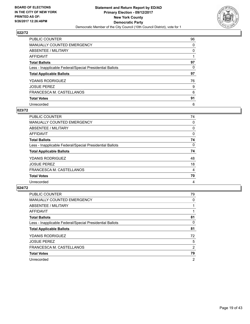

| PUBLIC COUNTER                                           | 96 |
|----------------------------------------------------------|----|
| MANUALLY COUNTED EMERGENCY                               | 0  |
| ABSENTEE / MILITARY                                      | 0  |
| <b>AFFIDAVIT</b>                                         |    |
| <b>Total Ballots</b>                                     | 97 |
| Less - Inapplicable Federal/Special Presidential Ballots | 0  |
| <b>Total Applicable Ballots</b>                          | 97 |
| <b>YDANIS RODRIGUEZ</b>                                  | 76 |
| <b>JOSUE PEREZ</b>                                       | 9  |
| FRANCESCA M. CASTELLANOS                                 | 6  |
| <b>Total Votes</b>                                       | 91 |
| Unrecorded                                               | 6  |

#### **023/72**

| <b>PUBLIC COUNTER</b>                                    | 74 |
|----------------------------------------------------------|----|
| <b>MANUALLY COUNTED EMERGENCY</b>                        | 0  |
| ABSENTEE / MILITARY                                      | 0  |
| <b>AFFIDAVIT</b>                                         | 0  |
| <b>Total Ballots</b>                                     | 74 |
| Less - Inapplicable Federal/Special Presidential Ballots | 0  |
| <b>Total Applicable Ballots</b>                          | 74 |
| <b>YDANIS RODRIGUEZ</b>                                  | 48 |
| <b>JOSUE PEREZ</b>                                       | 18 |
| FRANCESCA M. CASTELLANOS                                 | 4  |
| <b>Total Votes</b>                                       | 70 |
| Unrecorded                                               | 4  |

| <b>PUBLIC COUNTER</b>                                    | 79             |
|----------------------------------------------------------|----------------|
| <b>MANUALLY COUNTED EMERGENCY</b>                        | 0              |
| ABSENTEE / MILITARY                                      |                |
| AFFIDAVIT                                                |                |
| <b>Total Ballots</b>                                     | 81             |
| Less - Inapplicable Federal/Special Presidential Ballots | 0              |
| <b>Total Applicable Ballots</b>                          | 81             |
| <b>YDANIS RODRIGUEZ</b>                                  | 72             |
| <b>JOSUE PEREZ</b>                                       | 5              |
| FRANCESCA M. CASTELLANOS                                 | 2              |
| <b>Total Votes</b>                                       | 79             |
| Unrecorded                                               | $\overline{2}$ |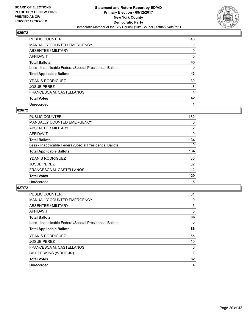

| PUBLIC COUNTER                                           | 43 |
|----------------------------------------------------------|----|
| <b>MANUALLY COUNTED EMERGENCY</b>                        | 0  |
| ABSENTEE / MILITARY                                      | 0  |
| AFFIDAVIT                                                | 0  |
| <b>Total Ballots</b>                                     | 43 |
| Less - Inapplicable Federal/Special Presidential Ballots | 0  |
| <b>Total Applicable Ballots</b>                          | 43 |
| <b>YDANIS RODRIGUEZ</b>                                  | 30 |
| <b>JOSUE PEREZ</b>                                       | 8  |
| FRANCESCA M. CASTELLANOS                                 | 4  |
| <b>Total Votes</b>                                       | 42 |
| Unrecorded                                               |    |

#### **026/72**

| <b>PUBLIC COUNTER</b>                                    | 132            |
|----------------------------------------------------------|----------------|
| MANUALLY COUNTED EMERGENCY                               | 0              |
| ABSENTEE / MILITARY                                      | $\overline{2}$ |
| AFFIDAVIT                                                | 0              |
| <b>Total Ballots</b>                                     | 134            |
| Less - Inapplicable Federal/Special Presidential Ballots | $\Omega$       |
| <b>Total Applicable Ballots</b>                          | 134            |
| <b>YDANIS RODRIGUEZ</b>                                  | 85             |
| <b>JOSUE PEREZ</b>                                       | 32             |
| FRANCESCA M. CASTELLANOS                                 | 12             |
| <b>Total Votes</b>                                       | 129            |
| Unrecorded                                               | 5              |

| <b>PUBLIC COUNTER</b>                                    | 81 |
|----------------------------------------------------------|----|
| <b>MANUALLY COUNTED EMERGENCY</b>                        | 0  |
| ABSENTEE / MILITARY                                      | 5  |
| <b>AFFIDAVIT</b>                                         | 0  |
| <b>Total Ballots</b>                                     | 86 |
| Less - Inapplicable Federal/Special Presidential Ballots | 0  |
| <b>Total Applicable Ballots</b>                          | 86 |
| <b>YDANIS RODRIGUEZ</b>                                  | 65 |
| <b>JOSUE PEREZ</b>                                       | 10 |
| FRANCESCA M. CASTELLANOS                                 | 6  |
| BILL PERKINS (WRITE-IN)                                  |    |
| <b>Total Votes</b>                                       | 82 |
| Unrecorded                                               | 4  |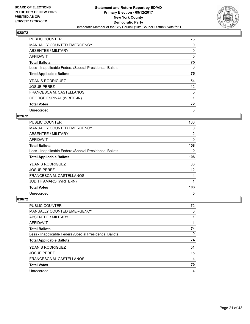

| <b>PUBLIC COUNTER</b>                                    | 75 |
|----------------------------------------------------------|----|
| MANUALLY COUNTED EMERGENCY                               | 0  |
| ABSENTEE / MILITARY                                      | 0  |
| <b>AFFIDAVIT</b>                                         | 0  |
| <b>Total Ballots</b>                                     | 75 |
| Less - Inapplicable Federal/Special Presidential Ballots | 0  |
| <b>Total Applicable Ballots</b>                          | 75 |
| <b>YDANIS RODRIGUEZ</b>                                  | 54 |
| <b>JOSUE PEREZ</b>                                       | 12 |
| FRANCESCA M. CASTELLANOS                                 | 5  |
| <b>GEORGE ESPINAL (WRITE-IN)</b>                         |    |
| <b>Total Votes</b>                                       | 72 |
| Unrecorded                                               | 3  |

#### **029/72**

| <b>PUBLIC COUNTER</b>                                    | 106         |
|----------------------------------------------------------|-------------|
| <b>MANUALLY COUNTED EMERGENCY</b>                        | 0           |
| ABSENTEE / MILITARY                                      | 2           |
| <b>AFFIDAVIT</b>                                         | 0           |
| <b>Total Ballots</b>                                     | 108         |
| Less - Inapplicable Federal/Special Presidential Ballots | 0           |
| <b>Total Applicable Ballots</b>                          | 108         |
| <b>YDANIS RODRIGUEZ</b>                                  | 86          |
| <b>JOSUE PEREZ</b>                                       | 12          |
| FRANCESCA M. CASTELLANOS                                 | 4           |
| <b>JUDITH AMARO (WRITE-IN)</b>                           | $\mathbf 1$ |
| <b>Total Votes</b>                                       | 103         |
| Unrecorded                                               | 5           |

| <b>PUBLIC COUNTER</b>                                    | 72 |
|----------------------------------------------------------|----|
| <b>MANUALLY COUNTED EMERGENCY</b>                        | 0  |
| ABSENTEE / MILITARY                                      |    |
| AFFIDAVIT                                                |    |
| <b>Total Ballots</b>                                     | 74 |
| Less - Inapplicable Federal/Special Presidential Ballots | 0  |
| <b>Total Applicable Ballots</b>                          | 74 |
| YDANIS RODRIGUEZ                                         | 51 |
| <b>JOSUE PEREZ</b>                                       | 15 |
| FRANCESCA M. CASTELLANOS                                 | 4  |
| <b>Total Votes</b>                                       | 70 |
| Unrecorded                                               | 4  |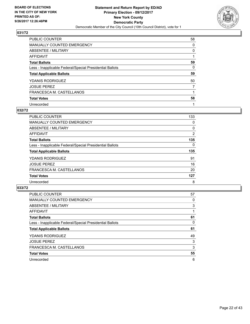

| PUBLIC COUNTER                                           | 58 |
|----------------------------------------------------------|----|
| <b>MANUALLY COUNTED EMERGENCY</b>                        | 0  |
| ABSENTEE / MILITARY                                      | 0  |
| AFFIDAVIT                                                |    |
| <b>Total Ballots</b>                                     | 59 |
| Less - Inapplicable Federal/Special Presidential Ballots | 0  |
| <b>Total Applicable Ballots</b>                          | 59 |
| <b>YDANIS RODRIGUEZ</b>                                  | 50 |
| <b>JOSUE PEREZ</b>                                       | 7  |
| FRANCESCA M. CASTELLANOS                                 |    |
| <b>Total Votes</b>                                       | 58 |
| Unrecorded                                               |    |

#### **032/72**

| <b>PUBLIC COUNTER</b>                                    | 133 |
|----------------------------------------------------------|-----|
| <b>MANUALLY COUNTED EMERGENCY</b>                        | 0   |
| ABSENTEE / MILITARY                                      | 0   |
| <b>AFFIDAVIT</b>                                         | 2   |
| <b>Total Ballots</b>                                     | 135 |
| Less - Inapplicable Federal/Special Presidential Ballots | 0   |
| <b>Total Applicable Ballots</b>                          | 135 |
| <b>YDANIS RODRIGUEZ</b>                                  | 91  |
| <b>JOSUE PEREZ</b>                                       | 16  |
| FRANCESCA M. CASTELLANOS                                 | 20  |
| <b>Total Votes</b>                                       | 127 |
| Unrecorded                                               | 8   |

| <b>PUBLIC COUNTER</b>                                    | 57 |
|----------------------------------------------------------|----|
| <b>MANUALLY COUNTED EMERGENCY</b>                        | 0  |
| ABSENTEE / MILITARY                                      | 3  |
| AFFIDAVIT                                                |    |
| <b>Total Ballots</b>                                     | 61 |
| Less - Inapplicable Federal/Special Presidential Ballots | 0  |
| <b>Total Applicable Ballots</b>                          | 61 |
| <b>YDANIS RODRIGUEZ</b>                                  | 49 |
| <b>JOSUE PEREZ</b>                                       | 3  |
| FRANCESCA M. CASTELLANOS                                 | 3  |
| <b>Total Votes</b>                                       | 55 |
| Unrecorded                                               | 6  |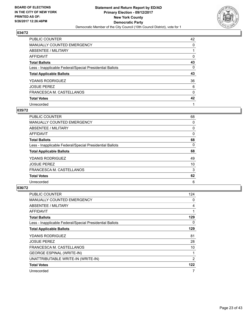

| PUBLIC COUNTER                                           | 42 |
|----------------------------------------------------------|----|
| <b>MANUALLY COUNTED EMERGENCY</b>                        | 0  |
| ABSENTEE / MILITARY                                      |    |
| AFFIDAVIT                                                | 0  |
| <b>Total Ballots</b>                                     | 43 |
| Less - Inapplicable Federal/Special Presidential Ballots | 0  |
| <b>Total Applicable Ballots</b>                          | 43 |
| <b>YDANIS RODRIGUEZ</b>                                  | 36 |
| <b>JOSUE PEREZ</b>                                       | 6  |
| FRANCESCA M. CASTELLANOS                                 | 0  |
| <b>Total Votes</b>                                       | 42 |
| Unrecorded                                               |    |

#### **035/72**

| <b>PUBLIC COUNTER</b>                                    | 68 |
|----------------------------------------------------------|----|
| MANUALLY COUNTED EMERGENCY                               | 0  |
| ABSENTEE / MILITARY                                      | 0  |
| <b>AFFIDAVIT</b>                                         | 0  |
| <b>Total Ballots</b>                                     | 68 |
| Less - Inapplicable Federal/Special Presidential Ballots | 0  |
| <b>Total Applicable Ballots</b>                          | 68 |
| <b>YDANIS RODRIGUEZ</b>                                  | 49 |
| <b>JOSUE PEREZ</b>                                       | 10 |
| FRANCESCA M. CASTELLANOS                                 | 3  |
| <b>Total Votes</b>                                       | 62 |
| Unrecorded                                               | 6  |

| <b>PUBLIC COUNTER</b>                                    | 124 |
|----------------------------------------------------------|-----|
| <b>MANUALLY COUNTED EMERGENCY</b>                        | 0   |
| ABSENTEE / MILITARY                                      | 4   |
| AFFIDAVIT                                                | 1   |
| <b>Total Ballots</b>                                     | 129 |
| Less - Inapplicable Federal/Special Presidential Ballots | 0   |
| <b>Total Applicable Ballots</b>                          | 129 |
| <b>YDANIS RODRIGUEZ</b>                                  | 81  |
| <b>JOSUE PEREZ</b>                                       | 28  |
| FRANCESCA M. CASTELLANOS                                 | 10  |
| <b>GEORGE ESPINAL (WRITE-IN)</b>                         | 1   |
| UNATTRIBUTABLE WRITE-IN (WRITE-IN)                       | 2   |
| <b>Total Votes</b>                                       | 122 |
| Unrecorded                                               | 7   |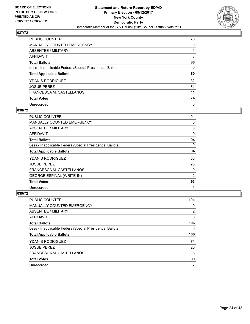

| PUBLIC COUNTER                                           | 76 |
|----------------------------------------------------------|----|
| MANUALLY COUNTED EMERGENCY                               | 0  |
| ABSENTEE / MILITARY                                      |    |
| <b>AFFIDAVIT</b>                                         | 3  |
| <b>Total Ballots</b>                                     | 80 |
| Less - Inapplicable Federal/Special Presidential Ballots | 0  |
| <b>Total Applicable Ballots</b>                          | 80 |
| <b>YDANIS RODRIGUEZ</b>                                  | 32 |
| <b>JOSUE PEREZ</b>                                       | 31 |
| FRANCESCA M. CASTELLANOS                                 | 11 |
| <b>Total Votes</b>                                       | 74 |
| Unrecorded                                               | 6  |

#### **038/72**

| <b>PUBLIC COUNTER</b>                                    | 94 |
|----------------------------------------------------------|----|
| <b>MANUALLY COUNTED EMERGENCY</b>                        | 0  |
| ABSENTEE / MILITARY                                      | 0  |
| AFFIDAVIT                                                | 0  |
| <b>Total Ballots</b>                                     | 94 |
| Less - Inapplicable Federal/Special Presidential Ballots | 0  |
| <b>Total Applicable Ballots</b>                          | 94 |
| <b>YDANIS RODRIGUEZ</b>                                  | 56 |
| <b>JOSUE PEREZ</b>                                       | 26 |
| FRANCESCA M. CASTELLANOS                                 | 9  |
| <b>GEORGE ESPINAL (WRITE-IN)</b>                         | 2  |
| <b>Total Votes</b>                                       | 93 |
| Unrecorded                                               | 1  |

| <b>PUBLIC COUNTER</b>                                    | 104 |
|----------------------------------------------------------|-----|
| <b>MANUALLY COUNTED EMERGENCY</b>                        | 0   |
| ABSENTEE / MILITARY                                      | 2   |
| AFFIDAVIT                                                | 0   |
| <b>Total Ballots</b>                                     | 106 |
| Less - Inapplicable Federal/Special Presidential Ballots | 0   |
| <b>Total Applicable Ballots</b>                          | 106 |
| YDANIS RODRIGUEZ                                         | 71  |
| <b>JOSUE PEREZ</b>                                       | 20  |
| FRANCESCA M. CASTELLANOS                                 | 8   |
| <b>Total Votes</b>                                       | 99  |
| Unrecorded                                               | 7   |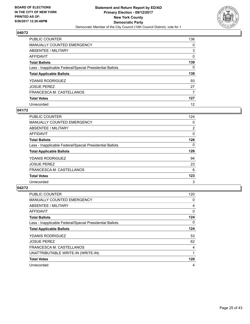

| PUBLIC COUNTER                                           | 136 |
|----------------------------------------------------------|-----|
| <b>MANUALLY COUNTED EMERGENCY</b>                        | 0   |
| ABSENTEE / MILITARY                                      | 3   |
| AFFIDAVIT                                                | 0   |
| <b>Total Ballots</b>                                     | 139 |
| Less - Inapplicable Federal/Special Presidential Ballots | 0   |
| <b>Total Applicable Ballots</b>                          | 139 |
| <b>YDANIS RODRIGUEZ</b>                                  | 93  |
| <b>JOSUE PEREZ</b>                                       | 27  |
| FRANCESCA M. CASTELLANOS                                 | 7   |
| <b>Total Votes</b>                                       | 127 |
| Unrecorded                                               | 12  |

#### **041/72**

| <b>PUBLIC COUNTER</b>                                    | 124      |
|----------------------------------------------------------|----------|
| <b>MANUALLY COUNTED EMERGENCY</b>                        | 0        |
| ABSENTEE / MILITARY                                      | 2        |
| <b>AFFIDAVIT</b>                                         | 0        |
| <b>Total Ballots</b>                                     | 126      |
| Less - Inapplicable Federal/Special Presidential Ballots | $\Omega$ |
| <b>Total Applicable Ballots</b>                          | 126      |
| <b>YDANIS RODRIGUEZ</b>                                  | 94       |
| <b>JOSUE PEREZ</b>                                       | 23       |
| FRANCESCA M. CASTELLANOS                                 | 6        |
| <b>Total Votes</b>                                       | 123      |
| Unrecorded                                               | 3        |

| <b>PUBLIC COUNTER</b>                                    | 120 |
|----------------------------------------------------------|-----|
| <b>MANUALLY COUNTED EMERGENCY</b>                        | 0   |
| ABSENTEE / MILITARY                                      | 4   |
| <b>AFFIDAVIT</b>                                         | 0   |
| <b>Total Ballots</b>                                     | 124 |
| Less - Inapplicable Federal/Special Presidential Ballots | 0   |
| <b>Total Applicable Ballots</b>                          | 124 |
| <b>YDANIS RODRIGUEZ</b>                                  | 53  |
| <b>JOSUE PEREZ</b>                                       | 62  |
| FRANCESCA M. CASTELLANOS                                 | 4   |
| UNATTRIBUTABLE WRITE-IN (WRITE-IN)                       |     |
| <b>Total Votes</b>                                       | 120 |
| Unrecorded                                               | 4   |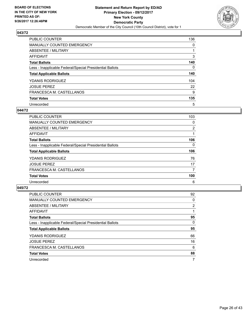

| PUBLIC COUNTER                                           | 136 |
|----------------------------------------------------------|-----|
| <b>MANUALLY COUNTED EMERGENCY</b>                        | 0   |
| ABSENTEE / MILITARY                                      |     |
| AFFIDAVIT                                                | 3   |
| <b>Total Ballots</b>                                     | 140 |
| Less - Inapplicable Federal/Special Presidential Ballots | 0   |
| <b>Total Applicable Ballots</b>                          | 140 |
| <b>YDANIS RODRIGUEZ</b>                                  | 104 |
| <b>JOSUE PEREZ</b>                                       | 22  |
| FRANCESCA M. CASTELLANOS                                 | 9   |
| <b>Total Votes</b>                                       | 135 |
| Unrecorded                                               | 5   |

#### **044/72**

| <b>PUBLIC COUNTER</b>                                    | 103      |
|----------------------------------------------------------|----------|
| <b>MANUALLY COUNTED EMERGENCY</b>                        | 0        |
| ABSENTEE / MILITARY                                      | 2        |
| <b>AFFIDAVIT</b>                                         |          |
| <b>Total Ballots</b>                                     | 106      |
| Less - Inapplicable Federal/Special Presidential Ballots | $\Omega$ |
| <b>Total Applicable Ballots</b>                          | 106      |
| <b>YDANIS RODRIGUEZ</b>                                  | 76       |
| <b>JOSUE PEREZ</b>                                       | 17       |
| FRANCESCA M. CASTELLANOS                                 | 7        |
| <b>Total Votes</b>                                       | 100      |
| Unrecorded                                               | 6        |

| <b>PUBLIC COUNTER</b>                                    | 92             |
|----------------------------------------------------------|----------------|
| <b>MANUALLY COUNTED EMERGENCY</b>                        | 0              |
| ABSENTEE / MILITARY                                      | $\overline{2}$ |
| <b>AFFIDAVIT</b>                                         |                |
| <b>Total Ballots</b>                                     | 95             |
| Less - Inapplicable Federal/Special Presidential Ballots | 0              |
| <b>Total Applicable Ballots</b>                          | 95             |
| YDANIS RODRIGUEZ                                         | 66             |
| <b>JOSUE PEREZ</b>                                       | 16             |
| FRANCESCA M. CASTELLANOS                                 | 6              |
| <b>Total Votes</b>                                       | 88             |
| Unrecorded                                               | 7              |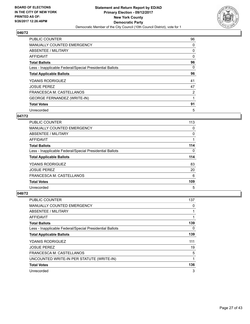

| <b>PUBLIC COUNTER</b>                                    | 96 |
|----------------------------------------------------------|----|
| <b>MANUALLY COUNTED EMERGENCY</b>                        | 0  |
| ABSENTEE / MILITARY                                      | 0  |
| <b>AFFIDAVIT</b>                                         | 0  |
| <b>Total Ballots</b>                                     | 96 |
| Less - Inapplicable Federal/Special Presidential Ballots | 0  |
| <b>Total Applicable Ballots</b>                          | 96 |
| <b>YDANIS RODRIGUEZ</b>                                  | 41 |
| <b>JOSUE PEREZ</b>                                       | 47 |
| FRANCESCA M. CASTELLANOS                                 | 2  |
| <b>GEORGE FERNANDEZ (WRITE-IN)</b>                       |    |
| <b>Total Votes</b>                                       | 91 |
| Unrecorded                                               | 5  |

#### **047/72**

| <b>PUBLIC COUNTER</b>                                    | 113 |
|----------------------------------------------------------|-----|
| <b>MANUALLY COUNTED EMERGENCY</b>                        | 0   |
| ABSENTEE / MILITARY                                      | 0   |
| AFFIDAVIT                                                |     |
| <b>Total Ballots</b>                                     | 114 |
| Less - Inapplicable Federal/Special Presidential Ballots | 0   |
| <b>Total Applicable Ballots</b>                          | 114 |
| <b>YDANIS RODRIGUEZ</b>                                  | 83  |
| <b>JOSUE PEREZ</b>                                       | 20  |
| FRANCESCA M. CASTELLANOS                                 | 6   |
| <b>Total Votes</b>                                       | 109 |
| Unrecorded                                               | 5   |

| PUBLIC COUNTER                                           | 137 |
|----------------------------------------------------------|-----|
| <b>MANUALLY COUNTED EMERGENCY</b>                        | 0   |
| ABSENTEE / MILITARY                                      | 1   |
| AFFIDAVIT                                                |     |
| <b>Total Ballots</b>                                     | 139 |
| Less - Inapplicable Federal/Special Presidential Ballots | 0   |
| <b>Total Applicable Ballots</b>                          | 139 |
| <b>YDANIS RODRIGUEZ</b>                                  | 111 |
| <b>JOSUE PEREZ</b>                                       | 19  |
| FRANCESCA M. CASTELLANOS                                 | 5   |
| UNCOUNTED WRITE-IN PER STATUTE (WRITE-IN)                | 1   |
| <b>Total Votes</b>                                       | 136 |
| Unrecorded                                               | 3   |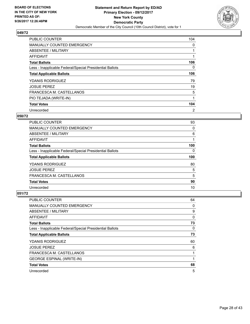

| PUBLIC COUNTER                                           | 104 |
|----------------------------------------------------------|-----|
| MANUALLY COUNTED EMERGENCY                               | 0   |
| ABSENTEE / MILITARY                                      |     |
| AFFIDAVIT                                                |     |
| <b>Total Ballots</b>                                     | 106 |
| Less - Inapplicable Federal/Special Presidential Ballots | 0   |
| <b>Total Applicable Ballots</b>                          | 106 |
| <b>YDANIS RODRIGUEZ</b>                                  | 79  |
| <b>JOSUE PEREZ</b>                                       | 19  |
| FRANCESCA M. CASTELLANOS                                 | 5   |
| PIO TEJADA (WRITE-IN)                                    |     |
| <b>Total Votes</b>                                       | 104 |
| Unrecorded                                               | 2   |

#### **050/72**

| <b>PUBLIC COUNTER</b>                                    | 93  |
|----------------------------------------------------------|-----|
| <b>MANUALLY COUNTED EMERGENCY</b>                        | 0   |
| ABSENTEE / MILITARY                                      | 6   |
| AFFIDAVIT                                                |     |
| <b>Total Ballots</b>                                     | 100 |
| Less - Inapplicable Federal/Special Presidential Ballots | 0   |
|                                                          |     |
| <b>Total Applicable Ballots</b>                          | 100 |
| YDANIS RODRIGUEZ                                         | 80  |
| <b>JOSUE PEREZ</b>                                       | 5   |
| FRANCESCA M. CASTELLANOS                                 | 5   |
| <b>Total Votes</b>                                       | 90  |

| <b>PUBLIC COUNTER</b>                                    | 64 |
|----------------------------------------------------------|----|
| MANUALLY COUNTED EMERGENCY                               | 0  |
| ABSENTEE / MILITARY                                      | 9  |
| AFFIDAVIT                                                | 0  |
| <b>Total Ballots</b>                                     | 73 |
| Less - Inapplicable Federal/Special Presidential Ballots | 0  |
| <b>Total Applicable Ballots</b>                          | 73 |
| <b>YDANIS RODRIGUEZ</b>                                  | 60 |
| <b>JOSUE PEREZ</b>                                       | 6  |
| FRANCESCA M. CASTELLANOS                                 |    |
| <b>GEORGE ESPINAL (WRITE-IN)</b>                         | 1  |
| <b>Total Votes</b>                                       | 68 |
| Unrecorded                                               | 5  |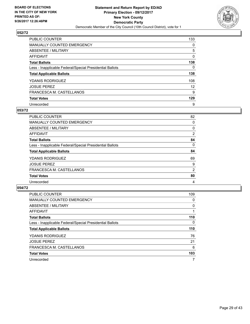

| PUBLIC COUNTER                                           | 133               |
|----------------------------------------------------------|-------------------|
| <b>MANUALLY COUNTED EMERGENCY</b>                        | 0                 |
| ABSENTEE / MILITARY                                      | 5                 |
| AFFIDAVIT                                                | 0                 |
| <b>Total Ballots</b>                                     | 138               |
| Less - Inapplicable Federal/Special Presidential Ballots | 0                 |
| <b>Total Applicable Ballots</b>                          | 138               |
| <b>YDANIS RODRIGUEZ</b>                                  | 108               |
| <b>JOSUE PEREZ</b>                                       | $12 \overline{ }$ |
| FRANCESCA M. CASTELLANOS                                 | 9                 |
| <b>Total Votes</b>                                       | 129               |
| Unrecorded                                               | 9                 |

#### **053/72**

| PUBLIC COUNTER                                           | 82       |
|----------------------------------------------------------|----------|
| <b>MANUALLY COUNTED EMERGENCY</b>                        | 0        |
| ABSENTEE / MILITARY                                      | 0        |
| <b>AFFIDAVIT</b>                                         | 2        |
| <b>Total Ballots</b>                                     | 84       |
| Less - Inapplicable Federal/Special Presidential Ballots | $\Omega$ |
| <b>Total Applicable Ballots</b>                          | 84       |
| <b>YDANIS RODRIGUEZ</b>                                  | 69       |
| <b>JOSUE PEREZ</b>                                       | 9        |
| FRANCESCA M. CASTELLANOS                                 | 2        |
| <b>Total Votes</b>                                       | 80       |
| Unrecorded                                               | 4        |

| <b>PUBLIC COUNTER</b>                                    | 109 |
|----------------------------------------------------------|-----|
| MANUALLY COUNTED EMERGENCY                               | 0   |
| ABSENTEE / MILITARY                                      | 0   |
| AFFIDAVIT                                                |     |
| <b>Total Ballots</b>                                     | 110 |
| Less - Inapplicable Federal/Special Presidential Ballots | 0   |
| <b>Total Applicable Ballots</b>                          | 110 |
| <b>YDANIS RODRIGUEZ</b>                                  | 76  |
| <b>JOSUE PEREZ</b>                                       | 21  |
| FRANCESCA M. CASTELLANOS                                 | 6   |
| <b>Total Votes</b>                                       | 103 |
| Unrecorded                                               | 7   |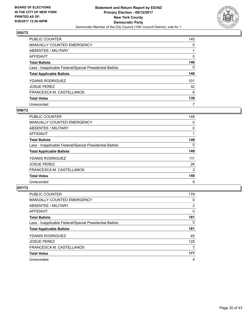

| PUBLIC COUNTER                                           | 145 |
|----------------------------------------------------------|-----|
| <b>MANUALLY COUNTED EMERGENCY</b>                        | 0   |
| ABSENTEE / MILITARY                                      |     |
| AFFIDAVIT                                                | 0   |
| <b>Total Ballots</b>                                     | 146 |
| Less - Inapplicable Federal/Special Presidential Ballots | 0   |
| <b>Total Applicable Ballots</b>                          | 146 |
| <b>YDANIS RODRIGUEZ</b>                                  | 101 |
| <b>JOSUE PEREZ</b>                                       | 32  |
| FRANCESCA M. CASTELLANOS                                 | 6   |
| <b>Total Votes</b>                                       | 139 |
| Unrecorded                                               | 7   |

#### **056/72**

| <b>PUBLIC COUNTER</b>                                    | 148      |
|----------------------------------------------------------|----------|
| <b>MANUALLY COUNTED EMERGENCY</b>                        | 0        |
| ABSENTEE / MILITARY                                      | 0        |
| <b>AFFIDAVIT</b>                                         |          |
| <b>Total Ballots</b>                                     | 149      |
| Less - Inapplicable Federal/Special Presidential Ballots | $\Omega$ |
| <b>Total Applicable Ballots</b>                          | 149      |
| <b>YDANIS RODRIGUEZ</b>                                  | 111      |
| <b>JOSUE PEREZ</b>                                       | 26       |
| FRANCESCA M. CASTELLANOS                                 | 3        |
| <b>Total Votes</b>                                       | 140      |
| Unrecorded                                               | 9        |

| <b>PUBLIC COUNTER</b>                                    | 179 |
|----------------------------------------------------------|-----|
| <b>MANUALLY COUNTED EMERGENCY</b>                        | 0   |
| ABSENTEE / MILITARY                                      | 2   |
| AFFIDAVIT                                                | 0   |
| <b>Total Ballots</b>                                     | 181 |
| Less - Inapplicable Federal/Special Presidential Ballots | 0   |
| <b>Total Applicable Ballots</b>                          | 181 |
| <b>YDANIS RODRIGUEZ</b>                                  | 45  |
| <b>JOSUE PEREZ</b>                                       | 125 |
| FRANCESCA M. CASTELLANOS                                 | 7   |
| <b>Total Votes</b>                                       | 177 |
| Unrecorded                                               | 4   |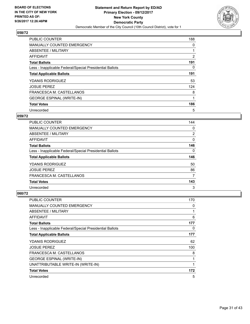

| <b>PUBLIC COUNTER</b>                                    | 188            |
|----------------------------------------------------------|----------------|
| MANUALLY COUNTED EMERGENCY                               | 0              |
| ABSENTEE / MILITARY                                      |                |
| AFFIDAVIT                                                | $\overline{2}$ |
| <b>Total Ballots</b>                                     | 191            |
| Less - Inapplicable Federal/Special Presidential Ballots | 0              |
| <b>Total Applicable Ballots</b>                          | 191            |
| <b>YDANIS RODRIGUEZ</b>                                  | 53             |
| <b>JOSUE PEREZ</b>                                       | 124            |
| FRANCESCA M. CASTELLANOS                                 | 8              |
| <b>GEORGE ESPINAL (WRITE-IN)</b>                         |                |
| <b>Total Votes</b>                                       | 186            |
| Unrecorded                                               | 5              |

#### **059/72**

| <b>PUBLIC COUNTER</b>                                    | 144 |
|----------------------------------------------------------|-----|
| <b>MANUALLY COUNTED EMERGENCY</b>                        | 0   |
| ABSENTEE / MILITARY                                      | 2   |
| AFFIDAVIT                                                | 0   |
| <b>Total Ballots</b>                                     | 146 |
| Less - Inapplicable Federal/Special Presidential Ballots | 0   |
| <b>Total Applicable Ballots</b>                          | 146 |
| <b>YDANIS RODRIGUEZ</b>                                  |     |
|                                                          | 50  |
| <b>JOSUE PEREZ</b>                                       | 86  |
| FRANCESCA M. CASTELLANOS                                 | 7   |
| <b>Total Votes</b>                                       | 143 |

| PUBLIC COUNTER                                           | 170 |
|----------------------------------------------------------|-----|
| <b>MANUALLY COUNTED EMERGENCY</b>                        | 0   |
| ABSENTEE / MILITARY                                      | 1   |
| AFFIDAVIT                                                | 6   |
| <b>Total Ballots</b>                                     | 177 |
| Less - Inapplicable Federal/Special Presidential Ballots | 0   |
| <b>Total Applicable Ballots</b>                          | 177 |
| <b>YDANIS RODRIGUEZ</b>                                  | 62  |
| <b>JOSUE PEREZ</b>                                       | 100 |
| FRANCESCA M. CASTELLANOS                                 | 8   |
| <b>GEORGE ESPINAL (WRITE-IN)</b>                         | 1   |
| UNATTRIBUTABLE WRITE-IN (WRITE-IN)                       | 1   |
| <b>Total Votes</b>                                       | 172 |
| Unrecorded                                               | 5   |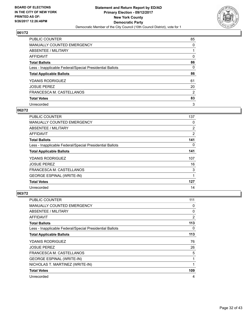

| PUBLIC COUNTER                                           | 85 |
|----------------------------------------------------------|----|
| MANUALLY COUNTED EMERGENCY                               | 0  |
| ABSENTEE / MILITARY                                      |    |
| <b>AFFIDAVIT</b>                                         | 0  |
| <b>Total Ballots</b>                                     | 86 |
| Less - Inapplicable Federal/Special Presidential Ballots | 0  |
| <b>Total Applicable Ballots</b>                          | 86 |
| <b>YDANIS RODRIGUEZ</b>                                  | 61 |
| <b>JOSUE PEREZ</b>                                       | 20 |
| FRANCESCA M. CASTELLANOS                                 | 2  |
| <b>Total Votes</b>                                       | 83 |
| Unrecorded                                               | 3  |

#### **062/72**

| <b>PUBLIC COUNTER</b>                                    | 137 |
|----------------------------------------------------------|-----|
| <b>MANUALLY COUNTED EMERGENCY</b>                        | 0   |
| ABSENTEE / MILITARY                                      | 2   |
| AFFIDAVIT                                                | 2   |
| <b>Total Ballots</b>                                     | 141 |
| Less - Inapplicable Federal/Special Presidential Ballots | 0   |
| <b>Total Applicable Ballots</b>                          | 141 |
| <b>YDANIS RODRIGUEZ</b>                                  | 107 |
| <b>JOSUE PEREZ</b>                                       | 16  |
| FRANCESCA M. CASTELLANOS                                 | 3   |
| <b>GEORGE ESPINAL (WRITE-IN)</b>                         | 1   |
| <b>Total Votes</b>                                       | 127 |
| Unrecorded                                               | 14  |

| <b>PUBLIC COUNTER</b>                                    | 111 |
|----------------------------------------------------------|-----|
| <b>MANUALLY COUNTED EMERGENCY</b>                        | 0   |
| ABSENTEE / MILITARY                                      | 0   |
| AFFIDAVIT                                                | 2   |
| <b>Total Ballots</b>                                     | 113 |
| Less - Inapplicable Federal/Special Presidential Ballots | 0   |
| <b>Total Applicable Ballots</b>                          | 113 |
| <b>YDANIS RODRIGUEZ</b>                                  | 76  |
| <b>JOSUE PEREZ</b>                                       | 26  |
| FRANCESCA M. CASTELLANOS                                 | 5   |
| <b>GEORGE ESPINAL (WRITE-IN)</b>                         |     |
| NICHOLAS T. MARTINEZ (WRITE-IN)                          |     |
| <b>Total Votes</b>                                       | 109 |
| Unrecorded                                               | 4   |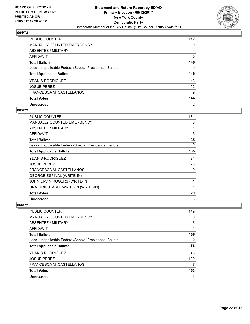

| PUBLIC COUNTER                                           | 142 |
|----------------------------------------------------------|-----|
| <b>MANUALLY COUNTED EMERGENCY</b>                        | 0   |
| ABSENTEE / MILITARY                                      | 4   |
| AFFIDAVIT                                                | 0   |
| <b>Total Ballots</b>                                     | 146 |
| Less - Inapplicable Federal/Special Presidential Ballots | 0   |
| <b>Total Applicable Ballots</b>                          | 146 |
| <b>YDANIS RODRIGUEZ</b>                                  | 43  |
| <b>JOSUE PEREZ</b>                                       | 92  |
| FRANCESCA M. CASTELLANOS                                 | 9   |
| <b>Total Votes</b>                                       | 144 |
| Unrecorded                                               |     |

#### **065/72**

| PUBLIC COUNTER                                           | 131 |
|----------------------------------------------------------|-----|
| <b>MANUALLY COUNTED EMERGENCY</b>                        | 0   |
| ABSENTEE / MILITARY                                      | 1   |
| <b>AFFIDAVIT</b>                                         | 3   |
| <b>Total Ballots</b>                                     | 135 |
| Less - Inapplicable Federal/Special Presidential Ballots | 0   |
| <b>Total Applicable Ballots</b>                          | 135 |
| <b>YDANIS RODRIGUEZ</b>                                  | 94  |
| <b>JOSUE PEREZ</b>                                       | 23  |
| FRANCESCA M. CASTELLANOS                                 | 9   |
| <b>GEORGE ESPINAL (WRITE-IN)</b>                         | 1   |
| JOHN ERVIN ROGERS (WRITE-IN)                             | 1   |
| UNATTRIBUTABLE WRITE-IN (WRITE-IN)                       | 1   |
| <b>Total Votes</b>                                       | 129 |
| Unrecorded                                               | 6   |

| <b>PUBLIC COUNTER</b>                                    | 149 |
|----------------------------------------------------------|-----|
| <b>MANUALLY COUNTED EMERGENCY</b>                        | 0   |
| ABSENTEE / MILITARY                                      | 6   |
| AFFIDAVIT                                                |     |
| <b>Total Ballots</b>                                     | 156 |
| Less - Inapplicable Federal/Special Presidential Ballots | 0   |
| <b>Total Applicable Ballots</b>                          | 156 |
| <b>YDANIS RODRIGUEZ</b>                                  | 46  |
| <b>JOSUE PEREZ</b>                                       | 100 |
| FRANCESCA M. CASTELLANOS                                 | 7   |
| <b>Total Votes</b>                                       | 153 |
| Unrecorded                                               | 3   |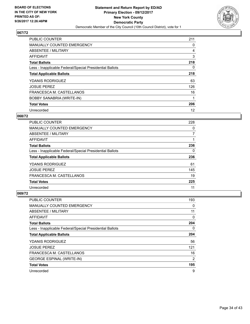

| <b>PUBLIC COUNTER</b>                                    | 211 |
|----------------------------------------------------------|-----|
| <b>MANUALLY COUNTED EMERGENCY</b>                        | 0   |
| ABSENTEE / MILITARY                                      | 4   |
| AFFIDAVIT                                                | 3   |
| <b>Total Ballots</b>                                     | 218 |
| Less - Inapplicable Federal/Special Presidential Ballots | 0   |
| <b>Total Applicable Ballots</b>                          | 218 |
| <b>YDANIS RODRIGUEZ</b>                                  | 63  |
| <b>JOSUE PEREZ</b>                                       | 126 |
| FRANCESCA M. CASTELLANOS                                 | 16  |
| <b>BOBBY SANABRIA (WRITE-IN)</b>                         |     |
| <b>Total Votes</b>                                       | 206 |
| Unrecorded                                               | 12  |

#### **068/72**

| <b>PUBLIC COUNTER</b>                                    | 228 |
|----------------------------------------------------------|-----|
| <b>MANUALLY COUNTED EMERGENCY</b>                        | 0   |
| ABSENTEE / MILITARY                                      | 7   |
| AFFIDAVIT                                                |     |
| <b>Total Ballots</b>                                     | 236 |
| Less - Inapplicable Federal/Special Presidential Ballots | 0   |
| <b>Total Applicable Ballots</b>                          | 236 |
| <b>YDANIS RODRIGUEZ</b>                                  | 61  |
| <b>JOSUE PEREZ</b>                                       | 145 |
| FRANCESCA M. CASTELLANOS                                 | 19  |
| <b>Total Votes</b>                                       | 225 |
| Unrecorded                                               | 11  |

| <b>PUBLIC COUNTER</b>                                    | 193 |
|----------------------------------------------------------|-----|
| <b>MANUALLY COUNTED EMERGENCY</b>                        | 0   |
| ABSENTEE / MILITARY                                      | 11  |
| AFFIDAVIT                                                | 0   |
| <b>Total Ballots</b>                                     | 204 |
| Less - Inapplicable Federal/Special Presidential Ballots | 0   |
| <b>Total Applicable Ballots</b>                          | 204 |
| <b>YDANIS RODRIGUEZ</b>                                  | 56  |
| <b>JOSUE PEREZ</b>                                       | 121 |
| FRANCESCA M. CASTELLANOS                                 | 16  |
| <b>GEORGE ESPINAL (WRITE-IN)</b>                         | 2   |
| <b>Total Votes</b>                                       | 195 |
| Unrecorded                                               | 9   |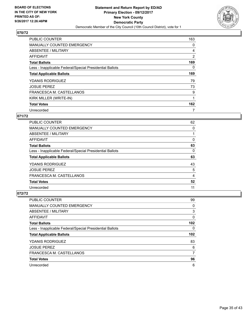

| <b>PUBLIC COUNTER</b>                                    | 163      |
|----------------------------------------------------------|----------|
| MANUALLY COUNTED EMERGENCY                               | 0        |
| ABSENTEE / MILITARY                                      | 4        |
| <b>AFFIDAVIT</b>                                         | 2        |
| <b>Total Ballots</b>                                     | 169      |
| Less - Inapplicable Federal/Special Presidential Ballots | $\Omega$ |
| <b>Total Applicable Ballots</b>                          | 169      |
| YDANIS RODRIGUEZ                                         | 79       |
| <b>JOSUE PEREZ</b>                                       | 73       |
| FRANCESCA M. CASTELLANOS                                 | 9        |
| KIRK MILLER (WRITE-IN)                                   |          |
| <b>Total Votes</b>                                       | 162      |
| Unrecorded                                               | 7        |

# **071/72**

| <b>PUBLIC COUNTER</b>                                    | 62 |
|----------------------------------------------------------|----|
| <b>MANUALLY COUNTED EMERGENCY</b>                        | 0  |
| ABSENTEE / MILITARY                                      |    |
| <b>AFFIDAVIT</b>                                         | 0  |
| <b>Total Ballots</b>                                     | 63 |
| Less - Inapplicable Federal/Special Presidential Ballots | 0  |
| <b>Total Applicable Ballots</b>                          | 63 |
| <b>YDANIS RODRIGUEZ</b>                                  | 43 |
| <b>JOSUE PEREZ</b>                                       | 5  |
| FRANCESCA M. CASTELLANOS                                 | 4  |
| <b>Total Votes</b>                                       | 52 |
| Unrecorded                                               | 11 |

| <b>PUBLIC COUNTER</b>                                    | 99  |
|----------------------------------------------------------|-----|
| <b>MANUALLY COUNTED EMERGENCY</b>                        | 0   |
| ABSENTEE / MILITARY                                      | 3   |
| AFFIDAVIT                                                | 0   |
| <b>Total Ballots</b>                                     | 102 |
| Less - Inapplicable Federal/Special Presidential Ballots | 0   |
| <b>Total Applicable Ballots</b>                          | 102 |
| <b>YDANIS RODRIGUEZ</b>                                  | 83  |
| <b>JOSUE PEREZ</b>                                       | 6   |
| FRANCESCA M. CASTELLANOS                                 | 7   |
| <b>Total Votes</b>                                       | 96  |
| Unrecorded                                               | 6   |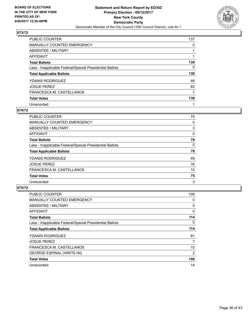

| PUBLIC COUNTER                                           | 137 |
|----------------------------------------------------------|-----|
| <b>MANUALLY COUNTED EMERGENCY</b>                        | 0   |
| ABSENTEE / MILITARY                                      |     |
| AFFIDAVIT                                                |     |
| <b>Total Ballots</b>                                     | 139 |
| Less - Inapplicable Federal/Special Presidential Ballots | 0   |
| <b>Total Applicable Ballots</b>                          | 139 |
| <b>YDANIS RODRIGUEZ</b>                                  | 46  |
| <b>JOSUE PEREZ</b>                                       | 85  |
| FRANCESCA M. CASTELLANOS                                 | 7   |
| <b>Total Votes</b>                                       | 138 |
| Unrecorded                                               |     |

#### **074/72**

| <b>PUBLIC COUNTER</b>                                    | 75       |
|----------------------------------------------------------|----------|
| MANUALLY COUNTED EMERGENCY                               | 0        |
| ABSENTEE / MILITARY                                      | 3        |
| <b>AFFIDAVIT</b>                                         | 0        |
| <b>Total Ballots</b>                                     | 78       |
| Less - Inapplicable Federal/Special Presidential Ballots | $\Omega$ |
| <b>Total Applicable Ballots</b>                          | 78       |
| <b>YDANIS RODRIGUEZ</b>                                  | 49       |
| <b>JOSUE PEREZ</b>                                       | 16       |
| FRANCESCA M. CASTELLANOS                                 | 10       |
| <b>Total Votes</b>                                       | 75       |
| Unrecorded                                               | 3        |

| <b>PUBLIC COUNTER</b>                                    | 109 |
|----------------------------------------------------------|-----|
| <b>MANUALLY COUNTED EMERGENCY</b>                        | 0   |
| ABSENTEE / MILITARY                                      | 5   |
| AFFIDAVIT                                                | 0   |
| <b>Total Ballots</b>                                     | 114 |
| Less - Inapplicable Federal/Special Presidential Ballots | 0   |
| <b>Total Applicable Ballots</b>                          | 114 |
| <b>YDANIS RODRIGUEZ</b>                                  | 81  |
| <b>JOSUE PEREZ</b>                                       | 7   |
| FRANCESCA M. CASTELLANOS                                 | 10  |
| <b>GEORGE ESPINAL (WRITE-IN)</b>                         | 2   |
| <b>Total Votes</b>                                       | 100 |
| Unrecorded                                               | 14  |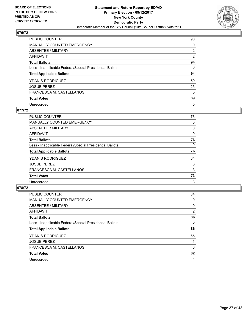

| PUBLIC COUNTER                                           | 90             |
|----------------------------------------------------------|----------------|
| <b>MANUALLY COUNTED EMERGENCY</b>                        | 0              |
| ABSENTEE / MILITARY                                      | $\overline{2}$ |
| AFFIDAVIT                                                | 2              |
| <b>Total Ballots</b>                                     | 94             |
| Less - Inapplicable Federal/Special Presidential Ballots | $\Omega$       |
| <b>Total Applicable Ballots</b>                          | 94             |
| <b>YDANIS RODRIGUEZ</b>                                  | 59             |
| <b>JOSUE PEREZ</b>                                       | 25             |
| FRANCESCA M. CASTELLANOS                                 | 5              |
| <b>Total Votes</b>                                       | 89             |
| Unrecorded                                               | 5              |

## **077/72**

| PUBLIC COUNTER                                           | 76 |
|----------------------------------------------------------|----|
| <b>MANUALLY COUNTED EMERGENCY</b>                        | 0  |
| ABSENTEE / MILITARY                                      | 0  |
| AFFIDAVIT                                                | 0  |
| <b>Total Ballots</b>                                     | 76 |
| Less - Inapplicable Federal/Special Presidential Ballots | 0  |
| <b>Total Applicable Ballots</b>                          | 76 |
| <b>YDANIS RODRIGUEZ</b>                                  | 64 |
| <b>JOSUE PEREZ</b>                                       | 6  |
| FRANCESCA M. CASTELLANOS                                 | 3  |
| <b>Total Votes</b>                                       | 73 |
| Unrecorded                                               | 3  |

| <b>PUBLIC COUNTER</b>                                    | 84       |
|----------------------------------------------------------|----------|
| <b>MANUALLY COUNTED EMERGENCY</b>                        | 0        |
| ABSENTEE / MILITARY                                      | $\Omega$ |
| AFFIDAVIT                                                | 2        |
| <b>Total Ballots</b>                                     | 86       |
| Less - Inapplicable Federal/Special Presidential Ballots | 0        |
| <b>Total Applicable Ballots</b>                          | 86       |
| <b>YDANIS RODRIGUEZ</b>                                  | 65       |
| <b>JOSUE PEREZ</b>                                       | 11       |
| FRANCESCA M. CASTELLANOS                                 | 6        |
| <b>Total Votes</b>                                       | 82       |
| Unrecorded                                               | 4        |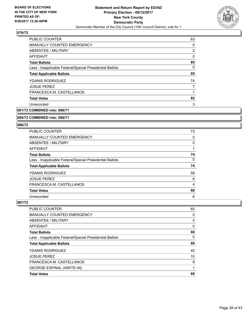

| <b>PUBLIC COUNTER</b>                                    | 83 |
|----------------------------------------------------------|----|
| MANUALLY COUNTED EMERGENCY                               | 0  |
| ABSENTEE / MILITARY                                      | 2  |
| AFFIDAVIT                                                | 0  |
| <b>Total Ballots</b>                                     | 85 |
| Less - Inapplicable Federal/Special Presidential Ballots | 0  |
| <b>Total Applicable Ballots</b>                          | 85 |
| <b>YDANIS RODRIGUEZ</b>                                  | 74 |
| <b>JOSUE PEREZ</b>                                       | 7  |
| FRANCESCA M. CASTELLANOS                                 | 1  |
| <b>Total Votes</b>                                       | 82 |
| Unrecorded                                               | 3  |
|                                                          |    |

**081/72 COMBINED into: 086/71**

#### **084/72 COMBINED into: 086/71**

#### **086/72**

| <b>PUBLIC COUNTER</b>                                    | 73 |
|----------------------------------------------------------|----|
| <b>MANUALLY COUNTED EMERGENCY</b>                        | 0  |
| ABSENTEE / MILITARY                                      | 0  |
| AFFIDAVIT                                                |    |
| <b>Total Ballots</b>                                     | 74 |
| Less - Inapplicable Federal/Special Presidential Ballots | 0  |
| <b>Total Applicable Ballots</b>                          | 74 |
| <b>YDANIS RODRIGUEZ</b>                                  | 58 |
| <b>JOSUE PEREZ</b>                                       | 6  |
| FRANCESCA M. CASTELLANOS                                 | 4  |
| <b>Total Votes</b>                                       | 68 |
| Unrecorded                                               | 6  |

| PUBLIC COUNTER                                           | 60 |
|----------------------------------------------------------|----|
| <b>MANUALLY COUNTED EMERGENCY</b>                        | 0  |
| ABSENTEE / MILITARY                                      | 0  |
| AFFIDAVIT                                                | 0  |
| <b>Total Ballots</b>                                     | 60 |
| Less - Inapplicable Federal/Special Presidential Ballots | 0  |
| <b>Total Applicable Ballots</b>                          | 60 |
| <b>YDANIS RODRIGUEZ</b>                                  | 40 |
| <b>JOSUE PEREZ</b>                                       | 10 |
| FRANCESCA M. CASTELLANOS                                 | 9  |
| <b>GEORGE ESPINAL (WRITE-IN)</b>                         |    |
| <b>Total Votes</b>                                       | 60 |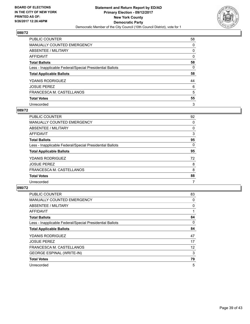

| PUBLIC COUNTER                                           | 58 |
|----------------------------------------------------------|----|
| MANUALLY COUNTED EMERGENCY                               | 0  |
| ABSENTEE / MILITARY                                      | 0  |
| AFFIDAVIT                                                | 0  |
| <b>Total Ballots</b>                                     | 58 |
| Less - Inapplicable Federal/Special Presidential Ballots | 0  |
| <b>Total Applicable Ballots</b>                          | 58 |
| <b>YDANIS RODRIGUEZ</b>                                  | 44 |
| <b>JOSUE PEREZ</b>                                       | 6  |
| FRANCESCA M. CASTELLANOS                                 | 5  |
| <b>Total Votes</b>                                       | 55 |
| Unrecorded                                               | 3  |

## **089/72**

| <b>PUBLIC COUNTER</b>                                    | 92 |
|----------------------------------------------------------|----|
| <b>MANUALLY COUNTED EMERGENCY</b>                        | 0  |
| ABSENTEE / MILITARY                                      | 0  |
| AFFIDAVIT                                                | 3  |
| <b>Total Ballots</b>                                     | 95 |
| Less - Inapplicable Federal/Special Presidential Ballots | 0  |
| <b>Total Applicable Ballots</b>                          | 95 |
| <b>YDANIS RODRIGUEZ</b>                                  | 72 |
| <b>JOSUE PEREZ</b>                                       | 8  |
| FRANCESCA M. CASTELLANOS                                 | 8  |
| <b>Total Votes</b>                                       | 88 |
| Unrecorded                                               | 7  |

| <b>PUBLIC COUNTER</b>                                    | 83 |
|----------------------------------------------------------|----|
| <b>MANUALLY COUNTED EMERGENCY</b>                        | 0  |
| ABSENTEE / MILITARY                                      | 0  |
| <b>AFFIDAVIT</b>                                         |    |
| <b>Total Ballots</b>                                     | 84 |
| Less - Inapplicable Federal/Special Presidential Ballots | 0  |
| <b>Total Applicable Ballots</b>                          | 84 |
| <b>YDANIS RODRIGUEZ</b>                                  | 47 |
| <b>JOSUE PEREZ</b>                                       | 17 |
| FRANCESCA M. CASTELLANOS                                 | 12 |
| <b>GEORGE ESPINAL (WRITE-IN)</b>                         | 3  |
| <b>Total Votes</b>                                       | 79 |
| Unrecorded                                               | 5  |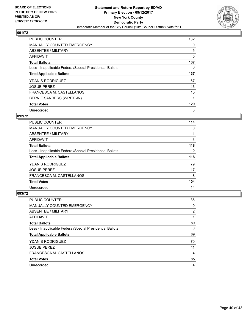

| <b>PUBLIC COUNTER</b>                                    | 132 |
|----------------------------------------------------------|-----|
| <b>MANUALLY COUNTED EMERGENCY</b>                        | 0   |
| ABSENTEE / MILITARY                                      | 5   |
| <b>AFFIDAVIT</b>                                         | 0   |
| <b>Total Ballots</b>                                     | 137 |
| Less - Inapplicable Federal/Special Presidential Ballots | 0   |
| <b>Total Applicable Ballots</b>                          | 137 |
| <b>YDANIS RODRIGUEZ</b>                                  | 67  |
| <b>JOSUE PEREZ</b>                                       | 46  |
| FRANCESCA M. CASTELLANOS                                 | 15  |
| BERNIE SANDERS (WRITE-IN)                                |     |
| <b>Total Votes</b>                                       | 129 |
| Unrecorded                                               | 8   |

#### **092/72**

| <b>PUBLIC COUNTER</b>                                    | 114 |
|----------------------------------------------------------|-----|
| <b>MANUALLY COUNTED EMERGENCY</b>                        | 0   |
| ABSENTEE / MILITARY                                      |     |
| <b>AFFIDAVIT</b>                                         | 3   |
| <b>Total Ballots</b>                                     | 118 |
| Less - Inapplicable Federal/Special Presidential Ballots | 0   |
| <b>Total Applicable Ballots</b>                          | 118 |
| <b>YDANIS RODRIGUEZ</b>                                  | 79  |
| <b>JOSUE PEREZ</b>                                       | 17  |
| FRANCESCA M. CASTELLANOS                                 | 8   |
| <b>Total Votes</b>                                       | 104 |
| Unrecorded                                               | 14  |

| <b>PUBLIC COUNTER</b>                                    | 86 |
|----------------------------------------------------------|----|
| <b>MANUALLY COUNTED EMERGENCY</b>                        | 0  |
| ABSENTEE / MILITARY                                      | 2  |
| AFFIDAVIT                                                |    |
| <b>Total Ballots</b>                                     | 89 |
| Less - Inapplicable Federal/Special Presidential Ballots | 0  |
| <b>Total Applicable Ballots</b>                          | 89 |
| <b>YDANIS RODRIGUEZ</b>                                  | 70 |
| <b>JOSUE PEREZ</b>                                       | 11 |
| FRANCESCA M. CASTELLANOS                                 | 4  |
| <b>Total Votes</b>                                       | 85 |
|                                                          |    |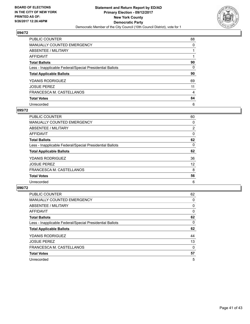

| PUBLIC COUNTER                                           | 88 |
|----------------------------------------------------------|----|
| MANUALLY COUNTED EMERGENCY                               | 0  |
| ABSENTEE / MILITARY                                      |    |
| AFFIDAVIT                                                |    |
| <b>Total Ballots</b>                                     | 90 |
| Less - Inapplicable Federal/Special Presidential Ballots | 0  |
| <b>Total Applicable Ballots</b>                          | 90 |
| <b>YDANIS RODRIGUEZ</b>                                  | 69 |
| <b>JOSUE PEREZ</b>                                       | 11 |
| FRANCESCA M. CASTELLANOS                                 | 4  |
| <b>Total Votes</b>                                       | 84 |
| Unrecorded                                               | 6  |

#### **095/72**

| <b>PUBLIC COUNTER</b>                                    | 60             |
|----------------------------------------------------------|----------------|
| <b>MANUALLY COUNTED EMERGENCY</b>                        | 0              |
| ABSENTEE / MILITARY                                      | $\overline{2}$ |
| <b>AFFIDAVIT</b>                                         | 0              |
| <b>Total Ballots</b>                                     | 62             |
| Less - Inapplicable Federal/Special Presidential Ballots | $\Omega$       |
| <b>Total Applicable Ballots</b>                          | 62             |
| <b>YDANIS RODRIGUEZ</b>                                  | 36             |
| <b>JOSUE PEREZ</b>                                       | 12             |
| FRANCESCA M. CASTELLANOS                                 | 8              |
| <b>Total Votes</b>                                       | 56             |
| Unrecorded                                               | 6              |

| PUBLIC COUNTER                                           | 62 |
|----------------------------------------------------------|----|
| MANUALLY COUNTED EMERGENCY                               | 0  |
| ABSENTEE / MILITARY                                      | 0  |
| AFFIDAVIT                                                | 0  |
| <b>Total Ballots</b>                                     | 62 |
| Less - Inapplicable Federal/Special Presidential Ballots | 0  |
| <b>Total Applicable Ballots</b>                          | 62 |
| <b>YDANIS RODRIGUEZ</b>                                  | 44 |
| <b>JOSUE PEREZ</b>                                       | 13 |
| FRANCESCA M. CASTELLANOS                                 | 0  |
| <b>Total Votes</b>                                       | 57 |
| Unrecorded                                               | 5  |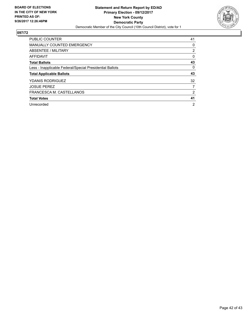

| <b>PUBLIC COUNTER</b>                                    | 41 |
|----------------------------------------------------------|----|
| <b>MANUALLY COUNTED EMERGENCY</b>                        | 0  |
| <b>ABSENTEE / MILITARY</b>                               | 2  |
| <b>AFFIDAVIT</b>                                         | 0  |
| <b>Total Ballots</b>                                     | 43 |
| Less - Inapplicable Federal/Special Presidential Ballots | 0  |
| <b>Total Applicable Ballots</b>                          | 43 |
| <b>YDANIS RODRIGUEZ</b>                                  | 32 |
| <b>JOSUE PEREZ</b>                                       | 7  |
| FRANCESCA M. CASTELLANOS                                 | 2  |
| <b>Total Votes</b>                                       | 41 |
| Unrecorded                                               | 2  |